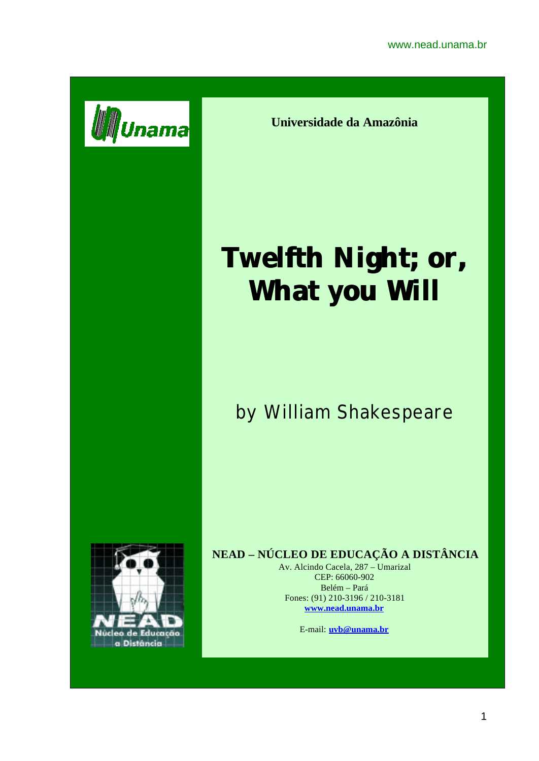

**Universidade da Amazônia**

# **Twelfth Night; or, What you Will**

## by William Shakespeare



### **NEAD – NÚCLEO DE EDUCAÇÃO A DISTÂNCIA**

Av. Alcindo Cacela, 287 – Umarizal CEP: 66060-902 Belém – Pará Fones: (91) 210-3196 / 210-3181 **www.nead.unama.br**

E-mail: **uvb@unama.br**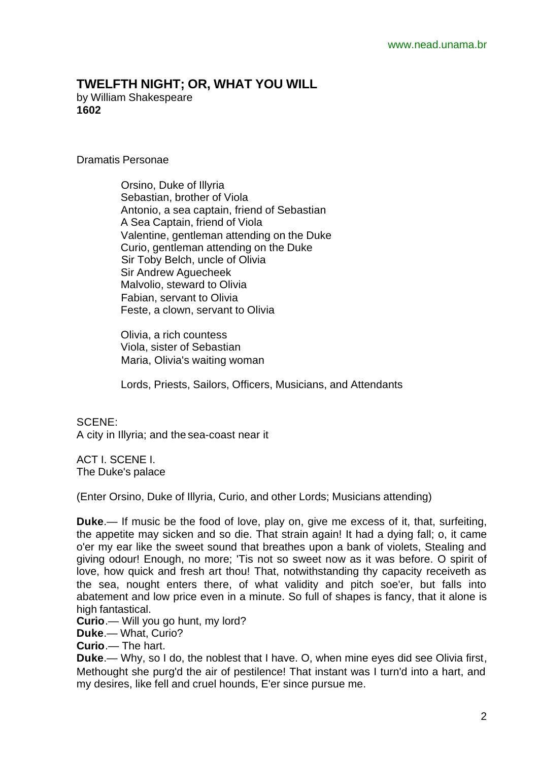#### **TWELFTH NIGHT; OR, WHAT YOU WILL**

by William Shakespeare **1602**

Dramatis Personae

 Orsino, Duke of Illyria Sebastian, brother of Viola Antonio, a sea captain, friend of Sebastian A Sea Captain, friend of Viola Valentine, gentleman attending on the Duke Curio, gentleman attending on the Duke Sir Toby Belch, uncle of Olivia Sir Andrew Aguecheek Malvolio, steward to Olivia Fabian, servant to Olivia Feste, a clown, servant to Olivia

 Olivia, a rich countess Viola, sister of Sebastian Maria, Olivia's waiting woman

Lords, Priests, Sailors, Officers, Musicians, and Attendants

SCENE: A city in Illyria; and the sea-coast near it

ACT I. SCENE I. The Duke's palace

(Enter Orsino, Duke of Illyria, Curio, and other Lords; Musicians attending)

**Duke**.— If music be the food of love, play on, give me excess of it, that, surfeiting, the appetite may sicken and so die. That strain again! It had a dying fall; o, it came o'er my ear like the sweet sound that breathes upon a bank of violets, Stealing and giving odour! Enough, no more; 'Tis not so sweet now as it was before. O spirit of love, how quick and fresh art thou! That, notwithstanding thy capacity receiveth as the sea, nought enters there, of what validity and pitch soe'er, but falls into abatement and low price even in a minute. So full of shapes is fancy, that it alone is high fantastical.

**Curio**.— Will you go hunt, my lord?

**Duke**.— What, Curio?

**Curio**.— The hart.

**Duke**.— Why, so I do, the noblest that I have. O, when mine eyes did see Olivia first, Methought she purg'd the air of pestilence! That instant was I turn'd into a hart, and my desires, like fell and cruel hounds, E'er since pursue me.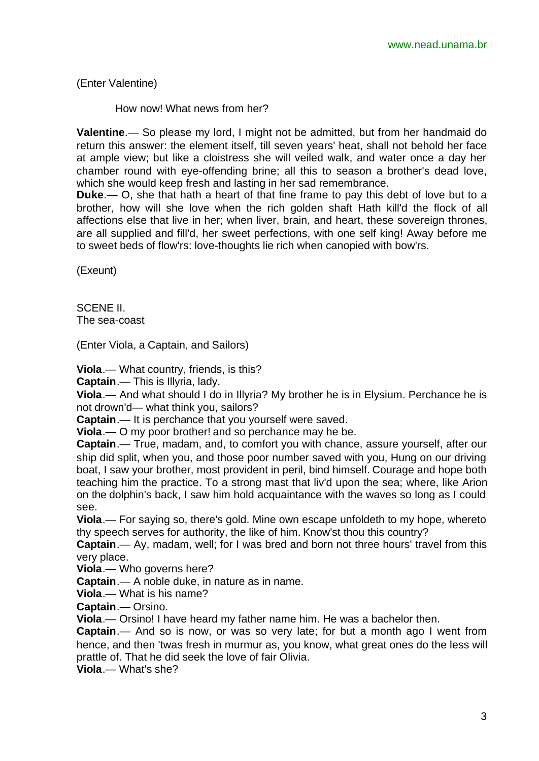(Enter Valentine)

How now! What news from her?

**Valentine**.— So please my lord, I might not be admitted, but from her handmaid do return this answer: the element itself, till seven years' heat, shall not behold her face at ample view; but like a cloistress she will veiled walk, and water once a day her chamber round with eye-offending brine; all this to season a brother's dead love, which she would keep fresh and lasting in her sad remembrance.

**Duke**.— O, she that hath a heart of that fine frame to pay this debt of love but to a brother, how will she love when the rich golden shaft Hath kill'd the flock of all affections else that live in her; when liver, brain, and heart, these sovereign thrones, are all supplied and fill'd, her sweet perfections, with one self king! Away before me to sweet beds of flow'rs: love-thoughts lie rich when canopied with bow'rs.

(Exeunt)

SCENE II. The sea-coast

(Enter Viola, a Captain, and Sailors)

**Viola**.— What country, friends, is this?

**Captain**.— This is Illyria, lady.

**Viola**.— And what should I do in Illyria? My brother he is in Elysium. Perchance he is not drown'd— what think you, sailors?

**Captain**.— It is perchance that you yourself were saved.

**Viola**.— O my poor brother! and so perchance may he be.

**Captain**.— True, madam, and, to comfort you with chance, assure yourself, after our ship did split, when you, and those poor number saved with you, Hung on our driving boat, I saw your brother, most provident in peril, bind himself. Courage and hope both teaching him the practice. To a strong mast that liv'd upon the sea; where, like Arion on the dolphin's back, I saw him hold acquaintance with the waves so long as I could see.

**Viola**.— For saying so, there's gold. Mine own escape unfoldeth to my hope, whereto thy speech serves for authority, the like of him. Know'st thou this country?

**Captain**.— Ay, madam, well; for I was bred and born not three hours' travel from this very place.

**Viola**.— Who governs here?

**Captain**.— A noble duke, in nature as in name.

**Viola**.— What is his name?

**Captain**.— Orsino.

**Viola**.— Orsino! I have heard my father name him. He was a bachelor then.

**Captain**.— And so is now, or was so very late; for but a month ago I went from hence, and then 'twas fresh in murmur as, you know, what great ones do the less will prattle of. That he did seek the love of fair Olivia.

**Viola**.— What's she?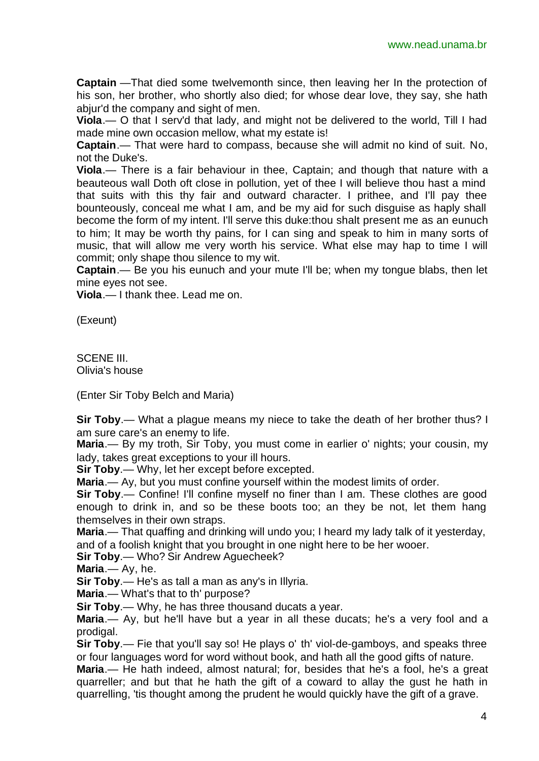**Captain** —That died some twelvemonth since, then leaving her In the protection of his son, her brother, who shortly also died; for whose dear love, they say, she hath abjur'd the company and sight of men.

**Viola**.— O that I serv'd that lady, and might not be delivered to the world, Till I had made mine own occasion mellow, what my estate is!

**Captain**.— That were hard to compass, because she will admit no kind of suit. No, not the Duke's.

**Viola**.— There is a fair behaviour in thee, Captain; and though that nature with a beauteous wall Doth oft close in pollution, yet of thee I will believe thou hast a mind that suits with this thy fair and outward character. I prithee, and I'll pay thee bounteously, conceal me what I am, and be my aid for such disguise as haply shall become the form of my intent. I'll serve this duke:thou shalt present me as an eunuch to him; It may be worth thy pains, for I can sing and speak to him in many sorts of music, that will allow me very worth his service. What else may hap to time I will commit; only shape thou silence to my wit.

**Captain**.— Be you his eunuch and your mute I'll be; when my tongue blabs, then let mine eyes not see.

**Viola**.— I thank thee. Lead me on.

(Exeunt)

SCENE III. Olivia's house

(Enter Sir Toby Belch and Maria)

**Sir Toby**.— What a plague means my niece to take the death of her brother thus? I am sure care's an enemy to life.

**Maria**.— By my troth, Sir Toby, you must come in earlier o' nights; your cousin, my lady, takes great exceptions to your ill hours.

**Sir Toby**.— Why, let her except before excepted.

**Maria**.— Ay, but you must confine yourself within the modest limits of order.

**Sir Toby.**— Confine! I'll confine myself no finer than I am. These clothes are good enough to drink in, and so be these boots too; an they be not, let them hang themselves in their own straps.

**Maria**.— That quaffing and drinking will undo you; I heard my lady talk of it yesterday, and of a foolish knight that you brought in one night here to be her wooer.

**Sir Toby**.— Who? Sir Andrew Aguecheek?

**Maria**.— Ay, he.

**Sir Toby**.— He's as tall a man as any's in Illyria.

**Maria**.— What's that to th' purpose?

**Sir Toby**.— Why, he has three thousand ducats a year.

**Maria**.— Ay, but he'll have but a year in all these ducats; he's a very fool and a prodigal.

**Sir Toby.**— Fie that you'll say so! He plays o' th' viol-de-gamboys, and speaks three or four languages word for word without book, and hath all the good gifts of nature.

**Maria**.— He hath indeed, almost natural; for, besides that he's a fool, he's a great quarreller; and but that he hath the gift of a coward to allay the gust he hath in quarrelling, 'tis thought among the prudent he would quickly have the gift of a grave.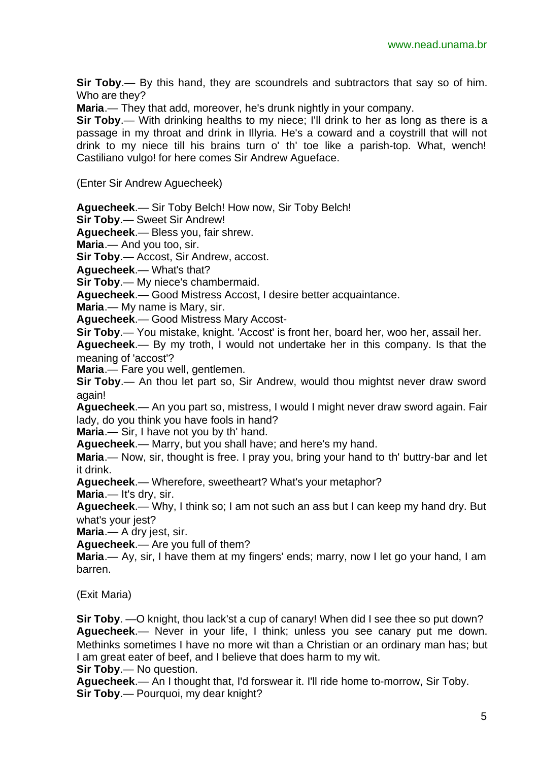**Sir Toby**.— By this hand, they are scoundrels and subtractors that say so of him. Who are they?

**Maria**.— They that add, moreover, he's drunk nightly in your company.

**Sir Toby**.— With drinking healths to my niece; I'll drink to her as long as there is a passage in my throat and drink in Illyria. He's a coward and a coystrill that will not drink to my niece till his brains turn o' th' toe like a parish-top. What, wench! Castiliano vulgo! for here comes Sir Andrew Agueface.

(Enter Sir Andrew Aguecheek)

**Aguecheek**.— Sir Toby Belch! How now, Sir Toby Belch!

**Sir Toby**.— Sweet Sir Andrew!

**Aguecheek**.— Bless you, fair shrew.

**Maria**.— And you too, sir.

**Sir Toby**.— Accost, Sir Andrew, accost.

**Aguecheek**.— What's that?

**Sir Toby**.— My niece's chambermaid.

**Aguecheek**.— Good Mistress Accost, I desire better acquaintance.

**Maria**.— My name is Mary, sir.

**Aguecheek**.— Good Mistress Mary Accost-

**Sir Toby**.— You mistake, knight. 'Accost' is front her, board her, woo her, assail her.

**Aguecheek**.— By my troth, I would not undertake her in this company. Is that the meaning of 'accost'?

**Maria**.— Fare you well, gentlemen.

**Sir Toby**.— An thou let part so, Sir Andrew, would thou mightst never draw sword again!

**Aguecheek**.— An you part so, mistress, I would I might never draw sword again. Fair lady, do you think you have fools in hand?

**Maria**.— Sir, I have not you by th' hand.

**Aguecheek**.— Marry, but you shall have; and here's my hand.

**Maria**.— Now, sir, thought is free. I pray you, bring your hand to th' buttry-bar and let it drink.

**Aguecheek**.— Wherefore, sweetheart? What's your metaphor?

**Maria**.— It's dry, sir.

**Aguecheek**.— Why, I think so; I am not such an ass but I can keep my hand dry. But what's your jest?

**Maria**.— A dry jest, sir.

**Aguecheek**.— Are you full of them?

**Maria**.— Ay, sir, I have them at my fingers' ends; marry, now I let go your hand, I am barren.

(Exit Maria)

**Sir Toby**. —O knight, thou lack'st a cup of canary! When did I see thee so put down? **Aguecheek**.— Never in your life, I think; unless you see canary put me down. Methinks sometimes I have no more wit than a Christian or an ordinary man has; but I am great eater of beef, and I believe that does harm to my wit.

**Sir Toby**.— No question.

**Aguecheek**.— An I thought that, I'd forswear it. I'll ride home to-morrow, Sir Toby. **Sir Toby**.— Pourquoi, my dear knight?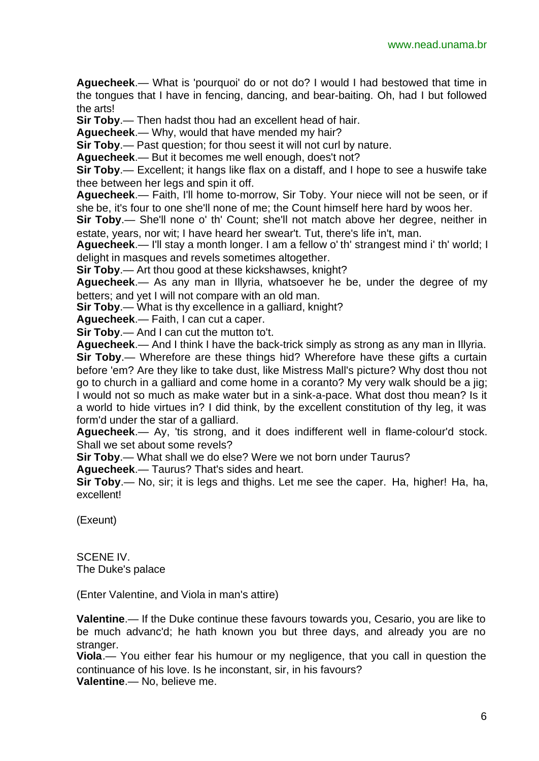**Aguecheek**.— What is 'pourquoi' do or not do? I would I had bestowed that time in the tongues that I have in fencing, dancing, and bear-baiting. Oh, had I but followed the arts!

**Sir Toby**.— Then hadst thou had an excellent head of hair.

**Aguecheek**.— Why, would that have mended my hair?

**Sir Toby**.— Past question; for thou seest it will not curl by nature.

**Aguecheek**.— But it becomes me well enough, does't not?

**Sir Toby**.— Excellent; it hangs like flax on a distaff, and I hope to see a huswife take thee between her legs and spin it off.

**Aguecheek**.— Faith, I'll home to-morrow, Sir Toby. Your niece will not be seen, or if she be, it's four to one she'll none of me; the Count himself here hard by woos her.

**Sir Toby**.— She'll none o' th' Count; she'll not match above her degree, neither in estate, years, nor wit; I have heard her swear't. Tut, there's life in't, man.

**Aguecheek**.— I'll stay a month longer. I am a fellow o' th' strangest mind i' th' world; I delight in masques and revels sometimes altogether.

**Sir Toby**.— Art thou good at these kickshawses, knight?

**Aguecheek**.— As any man in Illyria, whatsoever he be, under the degree of my betters; and yet I will not compare with an old man.

**Sir Toby**.— What is thy excellence in a galliard, knight?

**Aguecheek**.— Faith, I can cut a caper.

**Sir Toby**.— And I can cut the mutton to't.

**Aguecheek**.— And I think I have the back-trick simply as strong as any man in Illyria. **Sir Toby.**— Wherefore are these things hid? Wherefore have these gifts a curtain before 'em? Are they like to take dust, like Mistress Mall's picture? Why dost thou not go to church in a galliard and come home in a coranto? My very walk should be a jig; I would not so much as make water but in a sink-a-pace. What dost thou mean? Is it a world to hide virtues in? I did think, by the excellent constitution of thy leg, it was form'd under the star of a galliard.

**Aguecheek**.— Ay, 'tis strong, and it does indifferent well in flame-colour'd stock. Shall we set about some revels?

**Sir Toby**.— What shall we do else? Were we not born under Taurus?

**Aguecheek**.— Taurus? That's sides and heart.

**Sir Toby**.— No, sir; it is legs and thighs. Let me see the caper. Ha, higher! Ha, ha, excellent!

(Exeunt)

SCENE IV. The Duke's palace

(Enter Valentine, and Viola in man's attire)

**Valentine**.— If the Duke continue these favours towards you, Cesario, you are like to be much advanc'd; he hath known you but three days, and already you are no stranger.

**Viola**.— You either fear his humour or my negligence, that you call in question the continuance of his love. Is he inconstant, sir, in his favours? **Valentine**.— No, believe me.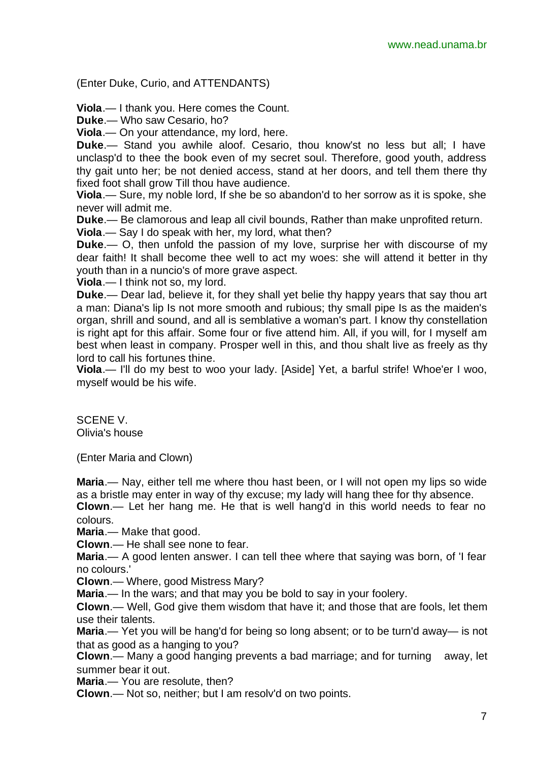(Enter Duke, Curio, and ATTENDANTS)

**Viola**.— I thank you. Here comes the Count.

**Duke**.— Who saw Cesario, ho?

**Viola**.— On your attendance, my lord, here.

**Duke**.— Stand you awhile aloof. Cesario, thou know'st no less but all; I have unclasp'd to thee the book even of my secret soul. Therefore, good youth, address thy gait unto her; be not denied access, stand at her doors, and tell them there thy fixed foot shall grow Till thou have audience.

**Viola**.— Sure, my noble lord, If she be so abandon'd to her sorrow as it is spoke, she never will admit me.

**Duke**.— Be clamorous and leap all civil bounds, Rather than make unprofited return.

**Viola**.— Say I do speak with her, my lord, what then?

**Duke**.— O, then unfold the passion of my love, surprise her with discourse of my dear faith! It shall become thee well to act my woes: she will attend it better in thy youth than in a nuncio's of more grave aspect.

**Viola**.— I think not so, my lord.

**Duke**.— Dear lad, believe it, for they shall yet belie thy happy years that say thou art a man: Diana's lip Is not more smooth and rubious; thy small pipe Is as the maiden's organ, shrill and sound, and all is semblative a woman's part. I know thy constellation is right apt for this affair. Some four or five attend him. All, if you will, for I myself am best when least in company. Prosper well in this, and thou shalt live as freely as thy lord to call his fortunes thine.

**Viola**.— I'll do my best to woo your lady. [Aside] Yet, a barful strife! Whoe'er I woo, myself would be his wife.

SCENE V. Olivia's house

(Enter Maria and Clown)

**Maria**.— Nay, either tell me where thou hast been, or I will not open my lips so wide as a bristle may enter in way of thy excuse; my lady will hang thee for thy absence. **Clown**.— Let her hang me. He that is well hang'd in this world needs to fear no

colours.

**Maria**.— Make that good.

**Clown**.— He shall see none to fear.

**Maria**.— A good lenten answer. I can tell thee where that saying was born, of 'I fear no colours.'

**Clown**.— Where, good Mistress Mary?

**Maria**.— In the wars; and that may you be bold to say in your foolery.

**Clown**.— Well, God give them wisdom that have it; and those that are fools, let them use their talents.

**Maria**.— Yet you will be hang'd for being so long absent; or to be turn'd away— is not that as good as a hanging to you?

**Clown**.— Many a good hanging prevents a bad marriage; and for turning away, let summer bear it out.

**Maria**.— You are resolute, then?

**Clown**.— Not so, neither; but I am resolv'd on two points.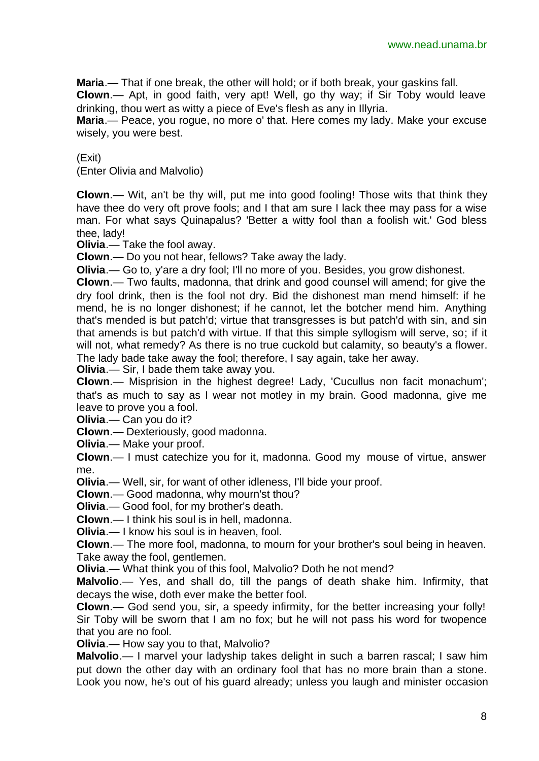**Maria**.— That if one break, the other will hold; or if both break, your gaskins fall.

**Clown**.— Apt, in good faith, very apt! Well, go thy way; if Sir Toby would leave drinking, thou wert as witty a piece of Eve's flesh as any in Illyria.

**Maria**.— Peace, you rogue, no more o' that. Here comes my lady. Make your excuse wisely, you were best.

(Exit)

(Enter Olivia and Malvolio)

**Clown**.— Wit, an't be thy will, put me into good fooling! Those wits that think they have thee do very oft prove fools; and I that am sure I lack thee may pass for a wise man. For what says Quinapalus? 'Better a witty fool than a foolish wit.' God bless thee, lady!

**Olivia**.— Take the fool away.

**Clown**.— Do you not hear, fellows? Take away the lady.

**Olivia**.— Go to, y'are a dry fool; I'll no more of you. Besides, you grow dishonest.

**Clown**.— Two faults, madonna, that drink and good counsel will amend; for give the dry fool drink, then is the fool not dry. Bid the dishonest man mend himself: if he mend, he is no longer dishonest; if he cannot, let the botcher mend him. Anything that's mended is but patch'd; virtue that transgresses is but patch'd with sin, and sin that amends is but patch'd with virtue. If that this simple syllogism will serve, so; if it will not, what remedy? As there is no true cuckold but calamity, so beauty's a flower. The lady bade take away the fool; therefore, I say again, take her away.

**Olivia**.— Sir, I bade them take away you.

**Clown**.— Misprision in the highest degree! Lady, 'Cucullus non facit monachum'; that's as much to say as I wear not motley in my brain. Good madonna, give me leave to prove you a fool.

**Olivia**.— Can you do it?

**Clown**.— Dexteriously, good madonna.

**Olivia**.— Make your proof.

**Clown**.— I must catechize you for it, madonna. Good my mouse of virtue, answer me.

**Olivia**.— Well, sir, for want of other idleness, I'll bide your proof.

**Clown**.— Good madonna, why mourn'st thou?

**Olivia**.— Good fool, for my brother's death.

**Clown**.— I think his soul is in hell, madonna.

**Olivia**.— I know his soul is in heaven, fool.

**Clown**.— The more fool, madonna, to mourn for your brother's soul being in heaven. Take away the fool, gentlemen.

**Olivia**.— What think you of this fool, Malvolio? Doth he not mend?

**Malvolio**.— Yes, and shall do, till the pangs of death shake him. Infirmity, that decays the wise, doth ever make the better fool.

**Clown**.— God send you, sir, a speedy infirmity, for the better increasing your folly! Sir Toby will be sworn that I am no fox; but he will not pass his word for twopence that you are no fool.

**Olivia**.— How say you to that, Malvolio?

**Malvolio**.— I marvel your ladyship takes delight in such a barren rascal; I saw him put down the other day with an ordinary fool that has no more brain than a stone. Look you now, he's out of his guard already; unless you laugh and minister occasion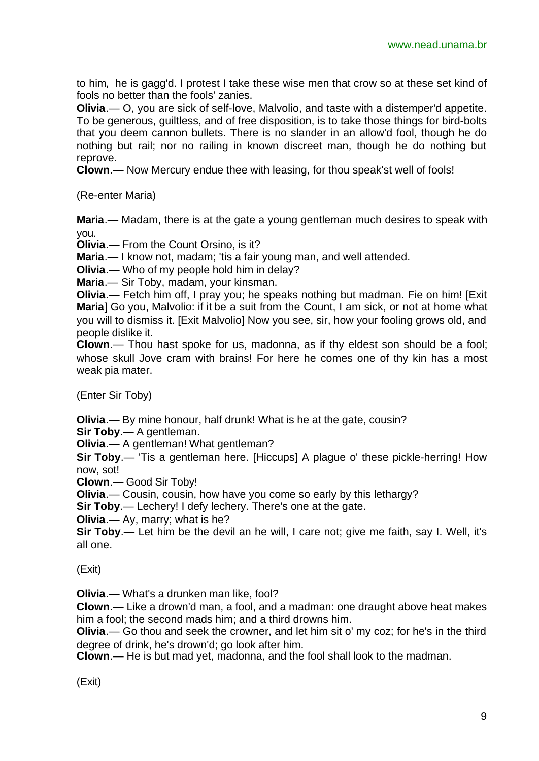to him, he is gagg'd. I protest I take these wise men that crow so at these set kind of fools no better than the fools' zanies.

**Olivia**.— O, you are sick of self-love, Malvolio, and taste with a distemper'd appetite. To be generous, guiltless, and of free disposition, is to take those things for bird-bolts that you deem cannon bullets. There is no slander in an allow'd fool, though he do nothing but rail; nor no railing in known discreet man, though he do nothing but reprove.

**Clown**.— Now Mercury endue thee with leasing, for thou speak'st well of fools!

(Re-enter Maria)

**Maria**.— Madam, there is at the gate a young gentleman much desires to speak with you.

**Olivia**.— From the Count Orsino, is it?

**Maria**.— I know not, madam; 'tis a fair young man, and well attended.

**Olivia**.— Who of my people hold him in delay?

**Maria**.— Sir Toby, madam, your kinsman.

**Olivia**.— Fetch him off, I pray you; he speaks nothing but madman. Fie on him! [Exit **Maria**] Go you, Malvolio: if it be a suit from the Count, I am sick, or not at home what you will to dismiss it. [Exit Malvolio] Now you see, sir, how your fooling grows old, and people dislike it.

**Clown**.— Thou hast spoke for us, madonna, as if thy eldest son should be a fool; whose skull Jove cram with brains! For here he comes one of thy kin has a most weak pia mater.

(Enter Sir Toby)

**Olivia**.— By mine honour, half drunk! What is he at the gate, cousin?

**Sir Toby**.— A gentleman.

**Olivia**.— A gentleman! What gentleman?

**Sir Toby**.— 'Tis a gentleman here. [Hiccups] A plague o' these pickle-herring! How now, sot!

**Clown**.— Good Sir Toby!

**Olivia**.— Cousin, cousin, how have you come so early by this lethargy?

**Sir Toby**.— Lechery! I defy lechery. There's one at the gate.

**Olivia**.— Ay, marry; what is he?

**Sir Toby**.— Let him be the devil an he will, I care not; give me faith, say I. Well, it's all one.

(Exit)

**Olivia**.— What's a drunken man like, fool?

**Clown**.— Like a drown'd man, a fool, and a madman: one draught above heat makes him a fool; the second mads him; and a third drowns him.

**Olivia**.— Go thou and seek the crowner, and let him sit o' my coz; for he's in the third degree of drink, he's drown'd; go look after him.

**Clown**.— He is but mad yet, madonna, and the fool shall look to the madman.

(Exit)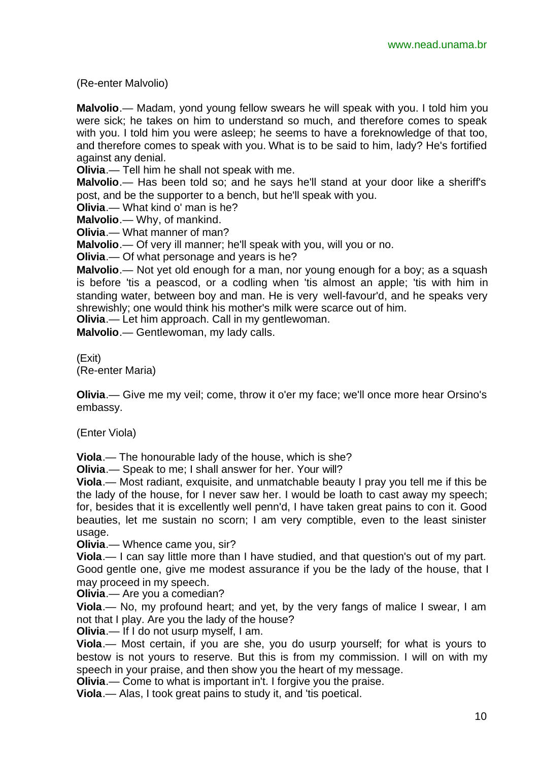(Re-enter Malvolio)

**Malvolio**.— Madam, yond young fellow swears he will speak with you. I told him you were sick; he takes on him to understand so much, and therefore comes to speak with you. I told him you were asleep; he seems to have a foreknowledge of that too, and therefore comes to speak with you. What is to be said to him, lady? He's fortified against any denial.

**Olivia**.— Tell him he shall not speak with me.

**Malvolio**.— Has been told so; and he says he'll stand at your door like a sheriff's post, and be the supporter to a bench, but he'll speak with you.

**Olivia**.— What kind o' man is he?

**Malvolio**.— Why, of mankind.

**Olivia**.— What manner of man?

**Malvolio**.— Of very ill manner; he'll speak with you, will you or no.

**Olivia**.— Of what personage and years is he?

**Malvolio**.— Not yet old enough for a man, nor young enough for a boy; as a squash is before 'tis a peascod, or a codling when 'tis almost an apple; 'tis with him in standing water, between boy and man. He is very well-favour'd, and he speaks very shrewishly; one would think his mother's milk were scarce out of him.

**Olivia**.— Let him approach. Call in my gentlewoman.

**Malvolio**.— Gentlewoman, my lady calls.

(Exit) (Re-enter Maria)

**Olivia**.— Give me my veil; come, throw it o'er my face; we'll once more hear Orsino's embassy.

(Enter Viola)

**Viola**.— The honourable lady of the house, which is she?

**Olivia**.— Speak to me; I shall answer for her. Your will?

**Viola**.— Most radiant, exquisite, and unmatchable beauty I pray you tell me if this be the lady of the house, for I never saw her. I would be loath to cast away my speech; for, besides that it is excellently well penn'd, I have taken great pains to con it. Good beauties, let me sustain no scorn; I am very comptible, even to the least sinister usage.

**Olivia**.— Whence came you, sir?

**Viola**.— I can say little more than I have studied, and that question's out of my part. Good gentle one, give me modest assurance if you be the lady of the house, that I

may proceed in my speech.

**Olivia**.— Are you a comedian?

**Viola**.— No, my profound heart; and yet, by the very fangs of malice I swear, I am not that I play. Are you the lady of the house?

**Olivia**.— If I do not usurp myself, I am.

**Viola**.— Most certain, if you are she, you do usurp yourself; for what is yours to bestow is not yours to reserve. But this is from my commission. I will on with my speech in your praise, and then show you the heart of my message.

**Olivia.**— Come to what is important in't. I forgive you the praise.

**Viola**.— Alas, I took great pains to study it, and 'tis poetical.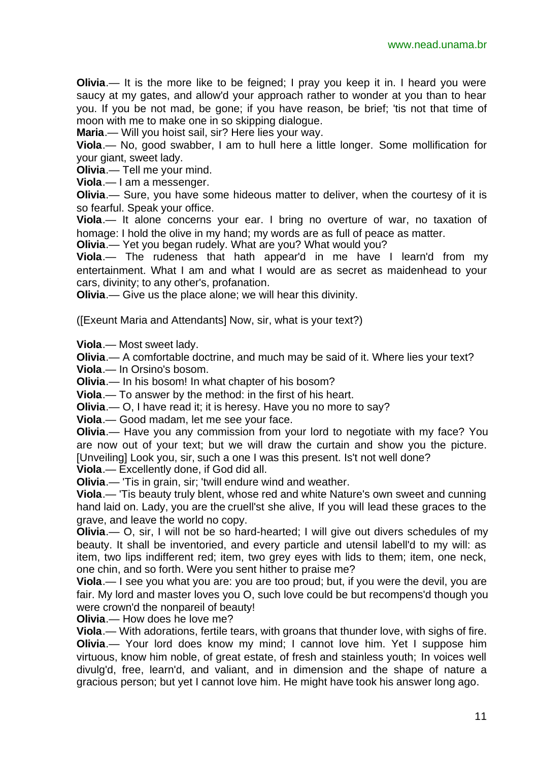**Olivia.**— It is the more like to be feigned; I pray you keep it in. I heard you were saucy at my gates, and allow'd your approach rather to wonder at you than to hear you. If you be not mad, be gone; if you have reason, be brief; 'tis not that time of moon with me to make one in so skipping dialogue.

**Maria**.— Will you hoist sail, sir? Here lies your way.

**Viola**.— No, good swabber, I am to hull here a little longer. Some mollification for your giant, sweet lady.

**Olivia**.— Tell me your mind.

**Viola**.— I am a messenger.

**Olivia**.— Sure, you have some hideous matter to deliver, when the courtesy of it is so fearful. Speak your office.

**Viola**.— It alone concerns your ear. I bring no overture of war, no taxation of homage: I hold the olive in my hand; my words are as full of peace as matter.

**Olivia**.— Yet you began rudely. What are you? What would you?

**Viola**.— The rudeness that hath appear'd in me have I learn'd from my entertainment. What I am and what I would are as secret as maidenhead to your cars, divinity; to any other's, profanation.

**Olivia**.— Give us the place alone; we will hear this divinity.

([Exeunt Maria and Attendants] Now, sir, what is your text?)

**Viola**.— Most sweet lady.

**Olivia**.— A comfortable doctrine, and much may be said of it. Where lies your text?

**Viola**.— In Orsino's bosom.

**Olivia**.— In his bosom! In what chapter of his bosom?

**Viola**.— To answer by the method: in the first of his heart.

**Olivia**.— O, I have read it; it is heresy. Have you no more to say?

**Viola**.— Good madam, let me see your face.

**Olivia**.— Have you any commission from your lord to negotiate with my face? You are now out of your text; but we will draw the curtain and show you the picture. [Unveiling] Look you, sir, such a one I was this present. Is't not well done?

**Viola**.— Excellently done, if God did all.

**Olivia**.— 'Tis in grain, sir; 'twill endure wind and weather.

**Viola**.— 'Tis beauty truly blent, whose red and white Nature's own sweet and cunning hand laid on. Lady, you are the cruell'st she alive, If you will lead these graces to the grave, and leave the world no copy.

**Olivia**.— O, sir, I will not be so hard-hearted; I will give out divers schedules of my beauty. It shall be inventoried, and every particle and utensil labell'd to my will: as item, two lips indifferent red; item, two grey eyes with lids to them; item, one neck, one chin, and so forth. Were you sent hither to praise me?

**Viola**.— I see you what you are: you are too proud; but, if you were the devil, you are fair. My lord and master loves you O, such love could be but recompens'd though you were crown'd the nonpareil of beauty!

**Olivia**.— How does he love me?

**Viola**.— With adorations, fertile tears, with groans that thunder love, with sighs of fire. **Olivia.**— Your lord does know my mind; I cannot love him. Yet I suppose him virtuous, know him noble, of great estate, of fresh and stainless youth; In voices well divulg'd, free, learn'd, and valiant, and in dimension and the shape of nature a gracious person; but yet I cannot love him. He might have took his answer long ago.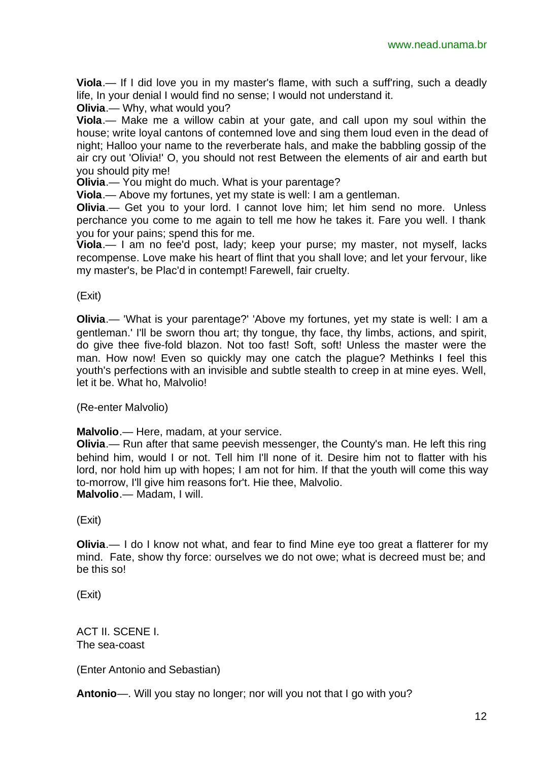**Viola**.— If I did love you in my master's flame, with such a suff'ring, such a deadly life, In your denial I would find no sense; I would not understand it.

**Olivia**.— Why, what would you?

**Viola**.— Make me a willow cabin at your gate, and call upon my soul within the house; write loyal cantons of contemned love and sing them loud even in the dead of night; Halloo your name to the reverberate hals, and make the babbling gossip of the air cry out 'Olivia!' O, you should not rest Between the elements of air and earth but you should pity me!

**Olivia**.— You might do much. What is your parentage?

**Viola**.— Above my fortunes, yet my state is well: I am a gentleman.

**Olivia**.— Get you to your lord. I cannot love him; let him send no more. Unless perchance you come to me again to tell me how he takes it. Fare you well. I thank you for your pains; spend this for me.

**Viola**.— I am no fee'd post, lady; keep your purse; my master, not myself, lacks recompense. Love make his heart of flint that you shall love; and let your fervour, like my master's, be Plac'd in contempt! Farewell, fair cruelty.

(Exit)

**Olivia**.— 'What is your parentage?' 'Above my fortunes, yet my state is well: I am a gentleman.' I'll be sworn thou art; thy tongue, thy face, thy limbs, actions, and spirit, do give thee five-fold blazon. Not too fast! Soft, soft! Unless the master were the man. How now! Even so quickly may one catch the plague? Methinks I feel this youth's perfections with an invisible and subtle stealth to creep in at mine eyes. Well, let it be. What ho, Malvolio!

(Re-enter Malvolio)

**Malvolio**.— Here, madam, at your service.

**Olivia**.— Run after that same peevish messenger, the County's man. He left this ring behind him, would I or not. Tell him I'll none of it. Desire him not to flatter with his lord, nor hold him up with hopes; I am not for him. If that the youth will come this way to-morrow, I'll give him reasons for't. Hie thee, Malvolio. **Malvolio**.— Madam, I will.

(Exit)

**Olivia**.— I do I know not what, and fear to find Mine eye too great a flatterer for my mind. Fate, show thy force: ourselves we do not owe; what is decreed must be; and be this so!

(Exit)

ACT II. SCENE I. The sea-coast

(Enter Antonio and Sebastian)

**Antonio**—. Will you stay no longer; nor will you not that I go with you?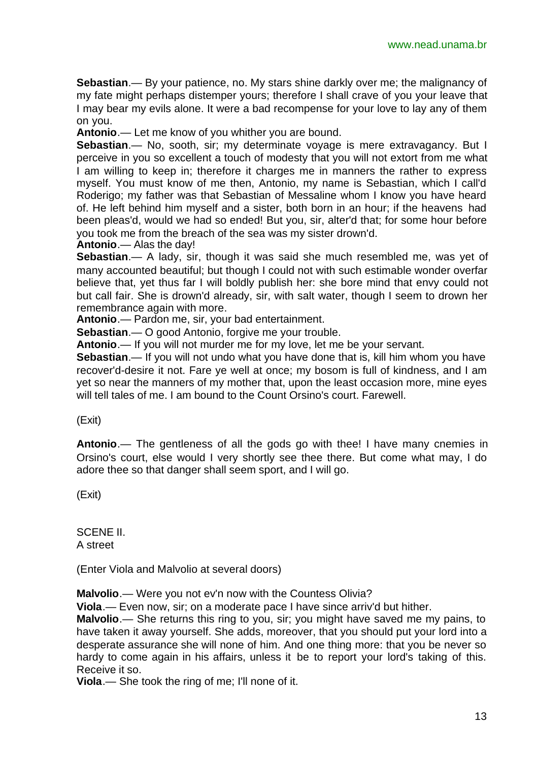**Sebastian**.— By your patience, no. My stars shine darkly over me; the malignancy of my fate might perhaps distemper yours; therefore I shall crave of you your leave that I may bear my evils alone. It were a bad recompense for your love to lay any of them on you.

**Antonio**.— Let me know of you whither you are bound.

**Sebastian.**— No, sooth, sir; my determinate voyage is mere extravagancy. But I perceive in you so excellent a touch of modesty that you will not extort from me what I am willing to keep in; therefore it charges me in manners the rather to express myself. You must know of me then, Antonio, my name is Sebastian, which I call'd Roderigo; my father was that Sebastian of Messaline whom I know you have heard of. He left behind him myself and a sister, both born in an hour; if the heavens had been pleas'd, would we had so ended! But you, sir, alter'd that; for some hour before you took me from the breach of the sea was my sister drown'd.

**Antonio**.— Alas the day!

**Sebastian**.— A lady, sir, though it was said she much resembled me, was yet of many accounted beautiful; but though I could not with such estimable wonder overfar believe that, yet thus far I will boldly publish her: she bore mind that envy could not but call fair. She is drown'd already, sir, with salt water, though I seem to drown her remembrance again with more.

**Antonio**.— Pardon me, sir, your bad entertainment.

**Sebastian**.— O good Antonio, forgive me your trouble.

**Antonio**.— If you will not murder me for my love, let me be your servant.

**Sebastian**.— If you will not undo what you have done that is, kill him whom you have recover'd-desire it not. Fare ye well at once; my bosom is full of kindness, and I am yet so near the manners of my mother that, upon the least occasion more, mine eyes will tell tales of me. I am bound to the Count Orsino's court. Farewell.

(Exit)

**Antonio**.— The gentleness of all the gods go with thee! I have many cnemies in Orsino's court, else would I very shortly see thee there. But come what may, I do adore thee so that danger shall seem sport, and I will go.

(Exit)

SCENE II. A street

(Enter Viola and Malvolio at several doors)

**Malvolio**.— Were you not ev'n now with the Countess Olivia?

**Viola**.— Even now, sir; on a moderate pace I have since arriv'd but hither.

**Malvolio**.— She returns this ring to you, sir; you might have saved me my pains, to have taken it away yourself. She adds, moreover, that you should put your lord into a desperate assurance she will none of him. And one thing more: that you be never so hardy to come again in his affairs, unless it be to report your lord's taking of this. Receive it so.

**Viola**.— She took the ring of me; I'll none of it.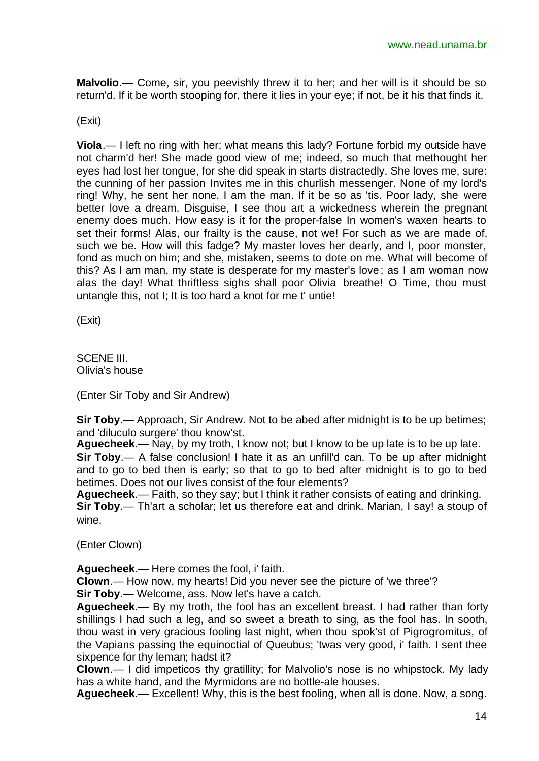**Malvolio**.— Come, sir, you peevishly threw it to her; and her will is it should be so return'd. If it be worth stooping for, there it lies in your eye; if not, be it his that finds it.

(Exit)

**Viola**.— I left no ring with her; what means this lady? Fortune forbid my outside have not charm'd her! She made good view of me; indeed, so much that methought her eyes had lost her tongue, for she did speak in starts distractedly. She loves me, sure: the cunning of her passion Invites me in this churlish messenger. None of my lord's ring! Why, he sent her none. I am the man. If it be so as 'tis. Poor lady, she were better love a dream. Disguise, I see thou art a wickedness wherein the pregnant enemy does much. How easy is it for the proper-false In women's waxen hearts to set their forms! Alas, our frailty is the cause, not we! For such as we are made of, such we be. How will this fadge? My master loves her dearly, and I, poor monster, fond as much on him; and she, mistaken, seems to dote on me. What will become of this? As I am man, my state is desperate for my master's love; as I am woman now alas the day! What thriftless sighs shall poor Olivia breathe! O Time, thou must untangle this, not I; It is too hard a knot for me t' untie!

(Exit)

SCENE III. Olivia's house

(Enter Sir Toby and Sir Andrew)

**Sir Toby**.— Approach, Sir Andrew. Not to be abed after midnight is to be up betimes; and 'diluculo surgere' thou know'st.

**Aguecheek**.— Nay, by my troth, I know not; but I know to be up late is to be up late.

**Sir Toby**.— A false conclusion! I hate it as an unfill'd can. To be up after midnight and to go to bed then is early; so that to go to bed after midnight is to go to bed betimes. Does not our lives consist of the four elements?

**Aguecheek**.— Faith, so they say; but I think it rather consists of eating and drinking. **Sir Toby**.— Th'art a scholar; let us therefore eat and drink. Marian, I say! a stoup of wine.

(Enter Clown)

**Aguecheek**.— Here comes the fool, i' faith.

**Clown**.— How now, my hearts! Did you never see the picture of 'we three'?

**Sir Toby**.— Welcome, ass. Now let's have a catch.

**Aguecheek**.— By my troth, the fool has an excellent breast. I had rather than forty shillings I had such a leg, and so sweet a breath to sing, as the fool has. In sooth, thou wast in very gracious fooling last night, when thou spok'st of Pigrogromitus, of the Vapians passing the equinoctial of Queubus; 'twas very good, i' faith. I sent thee sixpence for thy leman; hadst it?

**Clown**.— I did impeticos thy gratillity; for Malvolio's nose is no whipstock. My lady has a white hand, and the Myrmidons are no bottle-ale houses.

**Aguecheek**.— Excellent! Why, this is the best fooling, when all is done. Now, a song.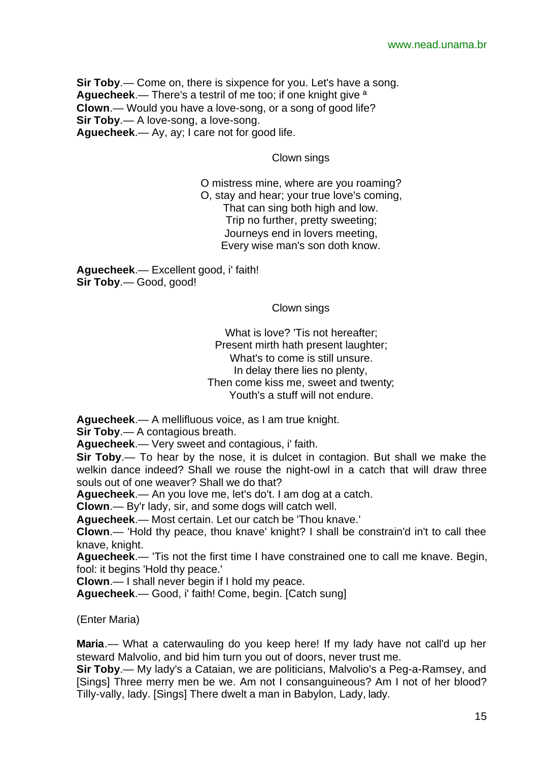**Sir Toby**.— Come on, there is sixpence for you. Let's have a song. **Aguecheek**.— There's a testril of me too; if one knight give ª **Clown**.— Would you have a love-song, or a song of good life? **Sir Toby**.— A love-song, a love-song. **Aguecheek**.— Ay, ay; I care not for good life.

Clown sings

O mistress mine, where are you roaming? O, stay and hear; your true love's coming, That can sing both high and low. Trip no further, pretty sweeting; Journeys end in lovers meeting, Every wise man's son doth know.

**Aguecheek**.— Excellent good, i' faith! **Sir Toby**.— Good, good!

Clown sings

What is love? 'Tis not hereafter: Present mirth hath present laughter; What's to come is still unsure. In delay there lies no plenty, Then come kiss me, sweet and twenty; Youth's a stuff will not endure.

**Aguecheek**.— A mellifluous voice, as I am true knight.

**Sir Toby**.— A contagious breath.

**Aguecheek**.— Very sweet and contagious, i' faith.

**Sir Toby**.— To hear by the nose, it is dulcet in contagion. But shall we make the welkin dance indeed? Shall we rouse the night-owl in a catch that will draw three souls out of one weaver? Shall we do that?

**Aguecheek**.— An you love me, let's do't. I am dog at a catch.

**Clown**.— By'r lady, sir, and some dogs will catch well.

**Aguecheek**.— Most certain. Let our catch be 'Thou knave.'

**Clown**.— 'Hold thy peace, thou knave' knight? I shall be constrain'd in't to call thee knave, knight.

**Aguecheek**.— 'Tis not the first time I have constrained one to call me knave. Begin, fool: it begins 'Hold thy peace.'

**Clown**.— I shall never begin if I hold my peace.

**Aguecheek**.— Good, i' faith! Come, begin. [Catch sung]

(Enter Maria)

**Maria**.— What a caterwauling do you keep here! If my lady have not call'd up her steward Malvolio, and bid him turn you out of doors, never trust me.

**Sir Toby**.— My lady's a Cataian, we are politicians, Malvolio's a Peg-a-Ramsey, and [Sings] Three merry men be we. Am not I consanguineous? Am I not of her blood? Tilly-vally, lady. [Sings] There dwelt a man in Babylon, Lady, lady.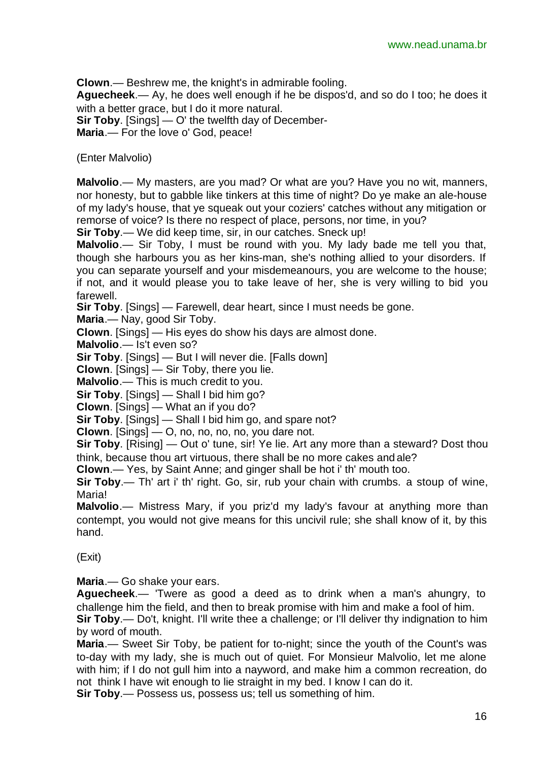**Clown**.— Beshrew me, the knight's in admirable fooling.

**Aguecheek**.— Ay, he does well enough if he be dispos'd, and so do I too; he does it with a better grace, but I do it more natural.

**Sir Toby**. [Sings] — O' the twelfth day of December-

**Maria**.— For the love o' God, peace!

(Enter Malvolio)

**Malvolio**.— My masters, are you mad? Or what are you? Have you no wit, manners, nor honesty, but to gabble like tinkers at this time of night? Do ye make an ale-house of my lady's house, that ye squeak out your coziers' catches without any mitigation or remorse of voice? Is there no respect of place, persons, nor time, in you?

**Sir Toby**.— We did keep time, sir, in our catches. Sneck up!

**Malvolio**.— Sir Toby, I must be round with you. My lady bade me tell you that, though she harbours you as her kins-man, she's nothing allied to your disorders. If you can separate yourself and your misdemeanours, you are welcome to the house; if not, and it would please you to take leave of her, she is very willing to bid you farewell.

**Sir Toby**. [Sings] — Farewell, dear heart, since I must needs be gone.

**Maria**.— Nay, good Sir Toby.

**Clown**. [Sings] — His eyes do show his days are almost done.

**Malvolio**.— Is't even so?

**Sir Toby**. [Sings] — But I will never die. [Falls down]

**Clown**. [Sings] — Sir Toby, there you lie.

**Malvolio**.— This is much credit to you.

**Sir Toby**. [Sings] — Shall I bid him go?

**Clown**. [Sings] — What an if you do?

**Sir Toby**. [Sings] — Shall I bid him go, and spare not?

**Clown**. [Sings] — O, no, no, no, no, you dare not.

**Sir Toby**. [Rising] — Out o' tune, sir! Ye lie. Art any more than a steward? Dost thou think, because thou art virtuous, there shall be no more cakes and ale?

**Clown**.— Yes, by Saint Anne; and ginger shall be hot i' th' mouth too.

**Sir Toby**.— Th' art i' th' right. Go, sir, rub your chain with crumbs. a stoup of wine, Maria!

**Malvolio**.— Mistress Mary, if you priz'd my lady's favour at anything more than contempt, you would not give means for this uncivil rule; she shall know of it, by this hand.

(Exit)

**Maria**.— Go shake your ears.

**Aguecheek**.— 'Twere as good a deed as to drink when a man's ahungry, to challenge him the field, and then to break promise with him and make a fool of him.

**Sir Toby**.— Do't, knight. I'll write thee a challenge; or I'll deliver thy indignation to him by word of mouth.

**Maria**.— Sweet Sir Toby, be patient for to-night; since the youth of the Count's was to-day with my lady, she is much out of quiet. For Monsieur Malvolio, let me alone with him; if I do not gull him into a nayword, and make him a common recreation, do not think I have wit enough to lie straight in my bed. I know I can do it.

**Sir Toby**.— Possess us, possess us; tell us something of him.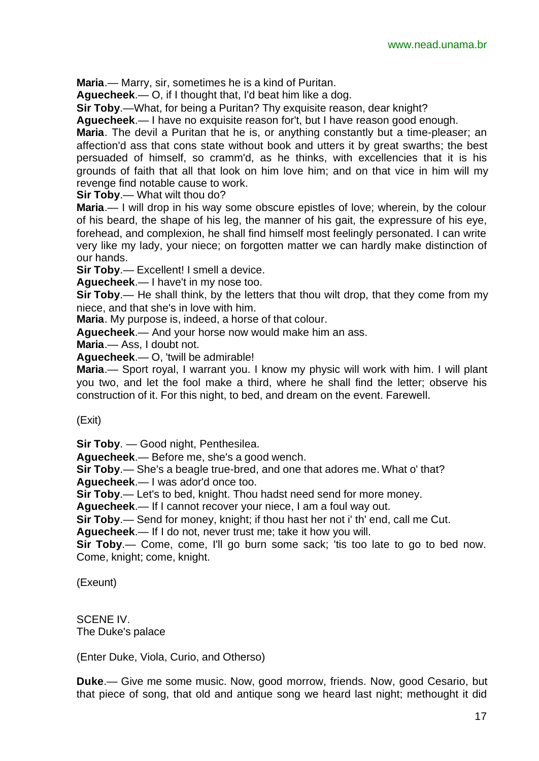**Maria**.— Marry, sir, sometimes he is a kind of Puritan.

**Aguecheek**.— O, if I thought that, I'd beat him like a dog.

**Sir Toby**.—What, for being a Puritan? Thy exquisite reason, dear knight?

**Aguecheek**.— I have no exquisite reason for't, but I have reason good enough.

**Maria**. The devil a Puritan that he is, or anything constantly but a time-pleaser; an affection'd ass that cons state without book and utters it by great swarths; the best persuaded of himself, so cramm'd, as he thinks, with excellencies that it is his grounds of faith that all that look on him love him; and on that vice in him will my revenge find notable cause to work.

**Sir Toby**.— What wilt thou do?

**Maria**.— I will drop in his way some obscure epistles of love; wherein, by the colour of his beard, the shape of his leg, the manner of his gait, the expressure of his eye, forehead, and complexion, he shall find himself most feelingly personated. I can write very like my lady, your niece; on forgotten matter we can hardly make distinction of our hands.

**Sir Toby.**— Excellent! I smell a device.

**Aguecheek**.— I have't in my nose too.

**Sir Toby.**— He shall think, by the letters that thou wilt drop, that they come from my niece, and that she's in love with him.

**Maria**. My purpose is, indeed, a horse of that colour.

**Aguecheek**.— And your horse now would make him an ass.

**Maria**.— Ass, I doubt not.

**Aguecheek**.— O, 'twill be admirable!

**Maria**.— Sport royal, I warrant you. I know my physic will work with him. I will plant you two, and let the fool make a third, where he shall find the letter; observe his construction of it. For this night, to bed, and dream on the event. Farewell.

(Exit)

**Sir Toby**. — Good night, Penthesilea.

**Aguecheek**.— Before me, she's a good wench.

**Sir Toby**.— She's a beagle true-bred, and one that adores me. What o' that?

**Aguecheek**.— I was ador'd once too.

**Sir Toby**.— Let's to bed, knight. Thou hadst need send for more money.

**Aguecheek**.— If I cannot recover your niece, I am a foul way out.

**Sir Toby**.— Send for money, knight; if thou hast her not i' th' end, call me Cut.

**Aguecheek**.— If I do not, never trust me; take it how you will.

**Sir Toby.**— Come, come, I'll go burn some sack; 'tis too late to go to bed now. Come, knight; come, knight.

(Exeunt)

SCENE IV. The Duke's palace

(Enter Duke, Viola, Curio, and Otherso)

**Duke**.— Give me some music. Now, good morrow, friends. Now, good Cesario, but that piece of song, that old and antique song we heard last night; methought it did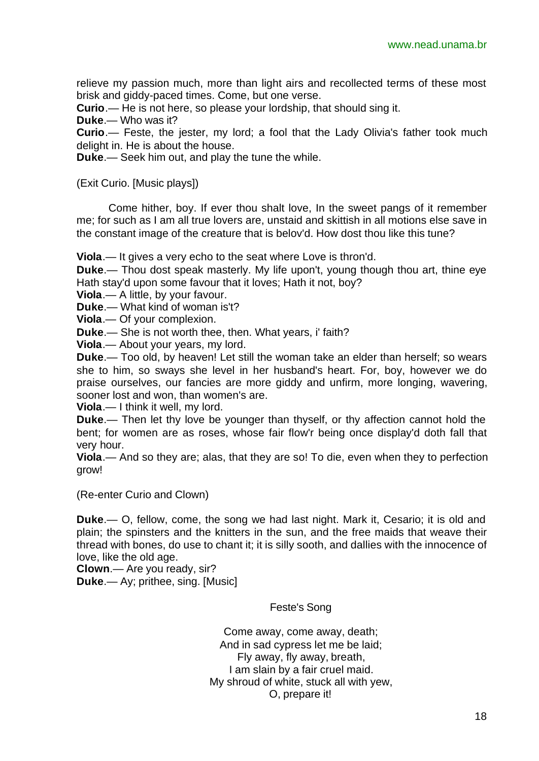relieve my passion much, more than light airs and recollected terms of these most brisk and giddy-paced times. Come, but one verse.

**Curio**.— He is not here, so please your lordship, that should sing it.

**Duke**.— Who was it?

**Curio**.— Feste, the jester, my lord; a fool that the Lady Olivia's father took much delight in. He is about the house.

**Duke**.— Seek him out, and play the tune the while.

(Exit Curio. [Music plays])

Come hither, boy. If ever thou shalt love, In the sweet pangs of it remember me; for such as I am all true lovers are, unstaid and skittish in all motions else save in the constant image of the creature that is belov'd. How dost thou like this tune?

**Viola**.— It gives a very echo to the seat where Love is thron'd.

**Duke**.— Thou dost speak masterly. My life upon't, young though thou art, thine eye Hath stay'd upon some favour that it loves; Hath it not, boy?

**Viola**.— A little, by your favour.

**Duke**.— What kind of woman is't?

**Viola**.— Of your complexion.

**Duke**.— She is not worth thee, then. What years, i' faith?

**Viola**.— About your years, my lord.

**Duke**.— Too old, by heaven! Let still the woman take an elder than herself; so wears she to him, so sways she level in her husband's heart. For, boy, however we do praise ourselves, our fancies are more giddy and unfirm, more longing, wavering, sooner lost and won, than women's are.

**Viola**.— I think it well, my lord.

**Duke**.— Then let thy love be younger than thyself, or thy affection cannot hold the bent; for women are as roses, whose fair flow'r being once display'd doth fall that very hour.

**Viola**.— And so they are; alas, that they are so! To die, even when they to perfection grow!

(Re-enter Curio and Clown)

**Duke**.— O, fellow, come, the song we had last night. Mark it, Cesario; it is old and plain; the spinsters and the knitters in the sun, and the free maids that weave their thread with bones, do use to chant it; it is silly sooth, and dallies with the innocence of love, like the old age.

**Clown**.— Are you ready, sir?

**Duke**.— Ay; prithee, sing. [Music]

Feste's Song

Come away, come away, death; And in sad cypress let me be laid; Fly away, fly away, breath, I am slain by a fair cruel maid. My shroud of white, stuck all with yew, O, prepare it!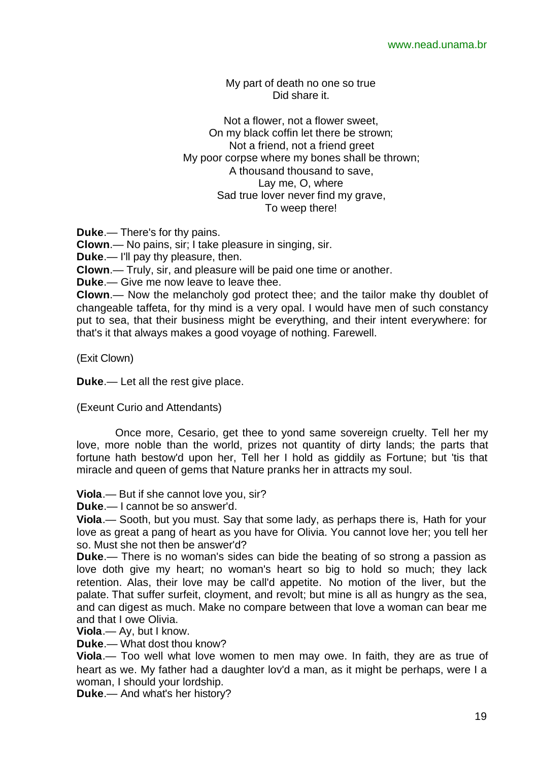My part of death no one so true Did share it.

Not a flower, not a flower sweet, On my black coffin let there be strown; Not a friend, not a friend greet My poor corpse where my bones shall be thrown; A thousand thousand to save, Lay me, O, where Sad true lover never find my grave, To weep there!

**Duke**.— There's for thy pains.

**Clown**.— No pains, sir; I take pleasure in singing, sir.

**Duke**.— I'll pay thy pleasure, then.

**Clown**.— Truly, sir, and pleasure will be paid one time or another.

**Duke**.— Give me now leave to leave thee.

**Clown**.— Now the melancholy god protect thee; and the tailor make thy doublet of changeable taffeta, for thy mind is a very opal. I would have men of such constancy put to sea, that their business might be everything, and their intent everywhere: for that's it that always makes a good voyage of nothing. Farewell.

(Exit Clown)

**Duke**.— Let all the rest give place.

(Exeunt Curio and Attendants)

Once more, Cesario, get thee to yond same sovereign cruelty. Tell her my love, more noble than the world, prizes not quantity of dirty lands; the parts that fortune hath bestow'd upon her, Tell her I hold as giddily as Fortune; but 'tis that miracle and queen of gems that Nature pranks her in attracts my soul.

**Viola**.— But if she cannot love you, sir?

**Duke**.— I cannot be so answer'd.

**Viola**.— Sooth, but you must. Say that some lady, as perhaps there is, Hath for your love as great a pang of heart as you have for Olivia. You cannot love her; you tell her so. Must she not then be answer'd?

**Duke**.— There is no woman's sides can bide the beating of so strong a passion as love doth give my heart; no woman's heart so big to hold so much; they lack retention. Alas, their love may be call'd appetite. No motion of the liver, but the palate. That suffer surfeit, cloyment, and revolt; but mine is all as hungry as the sea, and can digest as much. Make no compare between that love a woman can bear me and that I owe Olivia.

**Viola**.— Ay, but I know.

**Duke**.— What dost thou know?

**Viola**.— Too well what love women to men may owe. In faith, they are as true of heart as we. My father had a daughter lov'd a man, as it might be perhaps, were I a woman, I should your lordship.

**Duke**.— And what's her history?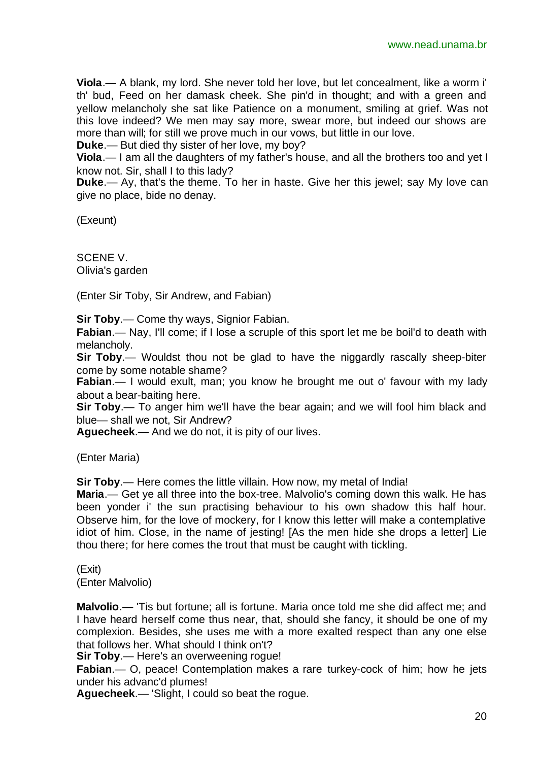**Viola**.— A blank, my lord. She never told her love, but let concealment, like a worm i' th' bud, Feed on her damask cheek. She pin'd in thought; and with a green and yellow melancholy she sat like Patience on a monument, smiling at grief. Was not this love indeed? We men may say more, swear more, but indeed our shows are more than will; for still we prove much in our vows, but little in our love.

**Duke**.— But died thy sister of her love, my boy?

**Viola**.— I am all the daughters of my father's house, and all the brothers too and yet I know not. Sir, shall I to this lady?

**Duke**.— Ay, that's the theme. To her in haste. Give her this jewel; say My love can give no place, bide no denay.

(Exeunt)

SCENE V. Olivia's garden

(Enter Sir Toby, Sir Andrew, and Fabian)

**Sir Toby**.— Come thy ways, Signior Fabian.

**Fabian**.— Nay, I'll come; if I lose a scruple of this sport let me be boil'd to death with melancholy.

**Sir Toby**.— Wouldst thou not be glad to have the niggardly rascally sheep-biter come by some notable shame?

**Fabian.**— I would exult, man; you know he brought me out o' favour with my lady about a bear-baiting here.

**Sir Toby**.— To anger him we'll have the bear again; and we will fool him black and blue— shall we not, Sir Andrew?

**Aguecheek**.— And we do not, it is pity of our lives.

(Enter Maria)

**Sir Toby**.— Here comes the little villain. How now, my metal of India!

**Maria**.— Get ye all three into the box-tree. Malvolio's coming down this walk. He has been yonder i' the sun practising behaviour to his own shadow this half hour. Observe him, for the love of mockery, for I know this letter will make a contemplative idiot of him. Close, in the name of jesting! [As the men hide she drops a letter] Lie thou there; for here comes the trout that must be caught with tickling.

(Exit) (Enter Malvolio)

**Malvolio**.— 'Tis but fortune; all is fortune. Maria once told me she did affect me; and I have heard herself come thus near, that, should she fancy, it should be one of my complexion. Besides, she uses me with a more exalted respect than any one else that follows her. What should I think on't?

**Sir Toby**.— Here's an overweening rogue!

**Fabian**.— O, peace! Contemplation makes a rare turkey-cock of him; how he jets under his advanc'd plumes!

**Aguecheek**.— 'Slight, I could so beat the rogue.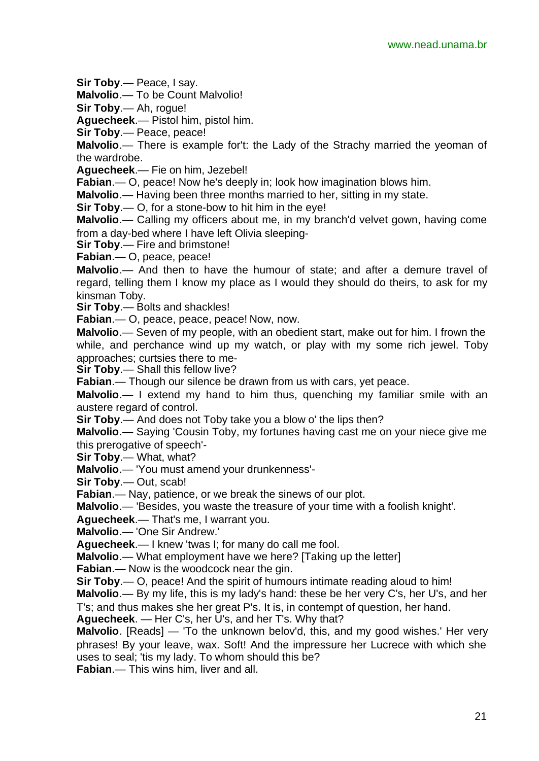**Sir Toby**.— Peace, I say.

**Malvolio**.— To be Count Malvolio!

**Sir Toby**.— Ah, rogue!

**Aguecheek**.— Pistol him, pistol him.

**Sir Toby**.— Peace, peace!

**Malvolio**.— There is example for't: the Lady of the Strachy married the yeoman of the wardrobe.

**Aguecheek**.— Fie on him, Jezebel!

**Fabian**.— O, peace! Now he's deeply in; look how imagination blows him.

**Malvolio**.— Having been three months married to her, sitting in my state.

**Sir Toby**.— O, for a stone-bow to hit him in the eye!

**Malvolio**.— Calling my officers about me, in my branch'd velvet gown, having come from a day-bed where I have left Olivia sleeping-

**Sir Toby**.— Fire and brimstone!

**Fabian**.— O, peace, peace!

**Malvolio**.— And then to have the humour of state; and after a demure travel of regard, telling them I know my place as I would they should do theirs, to ask for my kinsman Toby.

**Sir Toby**.— Bolts and shackles!

**Fabian**.— O, peace, peace, peace! Now, now.

**Malvolio**.— Seven of my people, with an obedient start, make out for him. I frown the while, and perchance wind up my watch, or play with my some rich jewel. Toby approaches; curtsies there to me-

**Sir Toby**.— Shall this fellow live?

**Fabian**.— Though our silence be drawn from us with cars, yet peace.

**Malvolio**.— I extend my hand to him thus, quenching my familiar smile with an austere regard of control.

**Sir Toby**.— And does not Toby take you a blow o' the lips then?

**Malvolio**.— Saying 'Cousin Toby, my fortunes having cast me on your niece give me this prerogative of speech'-

**Sir Toby**.— What, what?

**Malvolio**.— 'You must amend your drunkenness'-

**Sir Toby**.— Out, scab!

**Fabian**.— Nay, patience, or we break the sinews of our plot.

**Malvolio**.— 'Besides, you waste the treasure of your time with a foolish knight'.

**Aguecheek**.— That's me, I warrant you.

**Malvolio**.— 'One Sir Andrew.'

**Aguecheek**.— I knew 'twas I; for many do call me fool.

**Malvolio**.— What employment have we here? [Taking up the letter]

**Fabian**.— Now is the woodcock near the gin.

**Sir Toby**.— O, peace! And the spirit of humours intimate reading aloud to him!

**Malvolio**.— By my life, this is my lady's hand: these be her very C's, her U's, and her T's; and thus makes she her great P's. It is, in contempt of question, her hand.

**Aguecheek**. — Her C's, her U's, and her T's. Why that?

**Malvolio**. [Reads] — 'To the unknown belov'd, this, and my good wishes.' Her very phrases! By your leave, wax. Soft! And the impressure her Lucrece with which she uses to seal; 'tis my lady. To whom should this be?

**Fabian**.— This wins him, liver and all.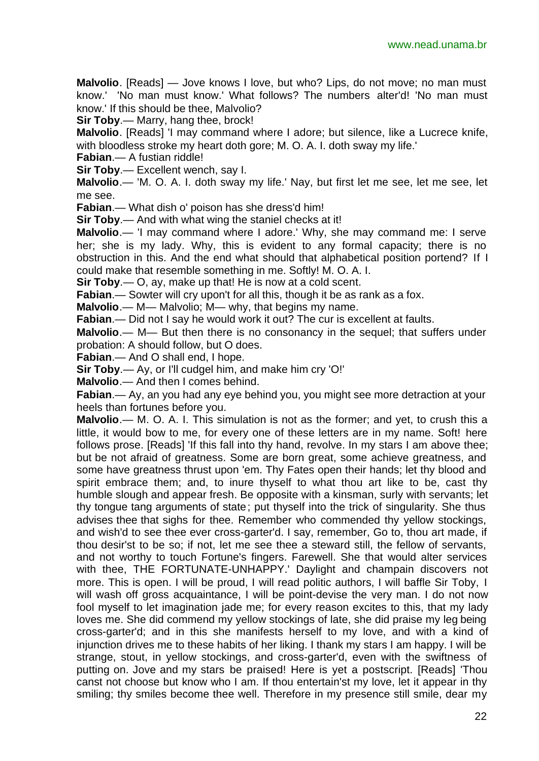**Malvolio**. [Reads] — Jove knows I love, but who? Lips, do not move; no man must know.' 'No man must know.' What follows? The numbers alter'd! 'No man must know.' If this should be thee, Malvolio?

**Sir Toby**.— Marry, hang thee, brock!

**Malvolio**. [Reads] 'I may command where I adore; but silence, like a Lucrece knife, with bloodless stroke my heart doth gore; M. O. A. I. doth sway my life.'

**Fabian**.— A fustian riddle!

**Sir Toby**.— Excellent wench, say I.

**Malvolio**.— 'M. O. A. I. doth sway my life.' Nay, but first let me see, let me see, let me see.

**Fabian**.— What dish o' poison has she dress'd him!

**Sir Toby**.— And with what wing the staniel checks at it!

**Malvolio**.— 'I may command where I adore.' Why, she may command me: I serve her; she is my lady. Why, this is evident to any formal capacity; there is no obstruction in this. And the end what should that alphabetical position portend? If I could make that resemble something in me. Softly! M. O. A. I.

**Sir Toby**.— O, ay, make up that! He is now at a cold scent.

**Fabian**.— Sowter will cry upon't for all this, though it be as rank as a fox.

**Malvolio**.— M— Malvolio; M— why, that begins my name.

**Fabian**.— Did not I say he would work it out? The cur is excellent at faults.

**Malvolio**.— M— But then there is no consonancy in the sequel; that suffers under probation: A should follow, but O does.

**Fabian**.— And O shall end, I hope.

**Sir Toby**.— Ay, or I'll cudgel him, and make him cry 'O!'

**Malvolio**.— And then I comes behind.

**Fabian**.— Ay, an you had any eye behind you, you might see more detraction at your heels than fortunes before you.

**Malvolio**.— M. O. A. I. This simulation is not as the former; and yet, to crush this a little, it would bow to me, for every one of these letters are in my name. Soft! here follows prose. [Reads] 'If this fall into thy hand, revolve. In my stars I am above thee; but be not afraid of greatness. Some are born great, some achieve greatness, and some have greatness thrust upon 'em. Thy Fates open their hands; let thy blood and spirit embrace them; and, to inure thyself to what thou art like to be, cast thy humble slough and appear fresh. Be opposite with a kinsman, surly with servants; let thy tongue tang arguments of state; put thyself into the trick of singularity. She thus advises thee that sighs for thee. Remember who commended thy yellow stockings, and wish'd to see thee ever cross-garter'd. I say, remember, Go to, thou art made, if thou desir'st to be so; if not, let me see thee a steward still, the fellow of servants, and not worthy to touch Fortune's fingers. Farewell. She that would alter services with thee, THE FORTUNATE-UNHAPPY.' Daylight and champain discovers not more. This is open. I will be proud, I will read politic authors, I will baffle Sir Toby, I will wash off gross acquaintance, I will be point-devise the very man. I do not now fool myself to let imagination jade me; for every reason excites to this, that my lady loves me. She did commend my yellow stockings of late, she did praise my leg being cross-garter'd; and in this she manifests herself to my love, and with a kind of injunction drives me to these habits of her liking. I thank my stars I am happy. I will be strange, stout, in yellow stockings, and cross-garter'd, even with the swiftness of putting on. Jove and my stars be praised! Here is yet a postscript. [Reads] 'Thou canst not choose but know who I am. If thou entertain'st my love, let it appear in thy smiling; thy smiles become thee well. Therefore in my presence still smile, dear my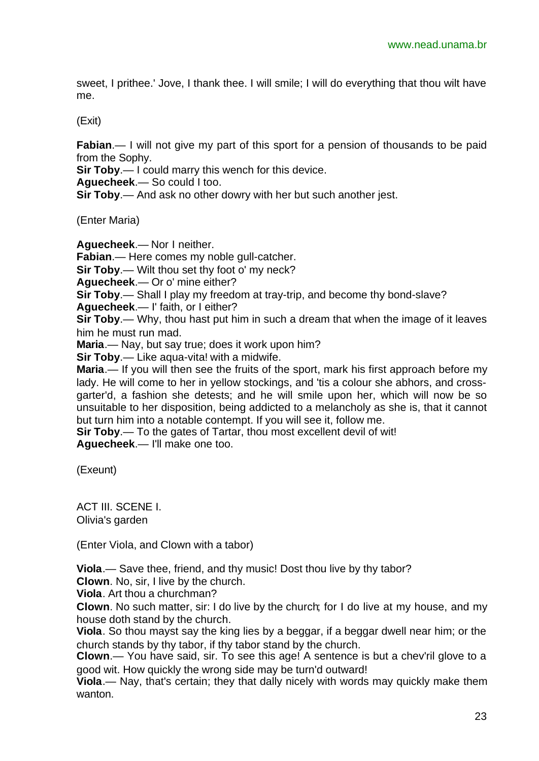sweet, I prithee.' Jove, I thank thee. I will smile; I will do everything that thou wilt have me.

(Exit)

**Fabian.**— I will not give my part of this sport for a pension of thousands to be paid from the Sophy.

**Sir Toby**.— I could marry this wench for this device.

**Aguecheek**.— So could I too.

**Sir Toby**.— And ask no other dowry with her but such another jest.

(Enter Maria)

**Aguecheek**.— Nor I neither.

**Fabian**.— Here comes my noble gull-catcher.

**Sir Toby**.— Wilt thou set thy foot o' my neck?

**Aguecheek**.— Or o' mine either?

**Sir Toby**.— Shall I play my freedom at tray-trip, and become thy bond-slave?

**Aguecheek**.— I' faith, or I either?

**Sir Toby**.— Why, thou hast put him in such a dream that when the image of it leaves him he must run mad.

**Maria**.— Nay, but say true; does it work upon him?

**Sir Toby**.— Like aqua-vita! with a midwife.

**Maria**.— If you will then see the fruits of the sport, mark his first approach before my lady. He will come to her in yellow stockings, and 'tis a colour she abhors, and crossgarter'd, a fashion she detests; and he will smile upon her, which will now be so unsuitable to her disposition, being addicted to a melancholy as she is, that it cannot but turn him into a notable contempt. If you will see it, follow me.

**Sir Toby**.— To the gates of Tartar, thou most excellent devil of wit! **Aguecheek**.— I'll make one too.

(Exeunt)

ACT III. SCENE I. Olivia's garden

(Enter Viola, and Clown with a tabor)

**Viola**.— Save thee, friend, and thy music! Dost thou live by thy tabor?

**Clown**. No, sir, I live by the church.

**Viola**. Art thou a churchman?

**Clown**. No such matter, sir: I do live by the church; for I do live at my house, and my house doth stand by the church.

**Viola**. So thou mayst say the king lies by a beggar, if a beggar dwell near him; or the church stands by thy tabor, if thy tabor stand by the church.

**Clown**.— You have said, sir. To see this age! A sentence is but a chev'ril glove to a good wit. How quickly the wrong side may be turn'd outward!

**Viola**.— Nay, that's certain; they that dally nicely with words may quickly make them wanton.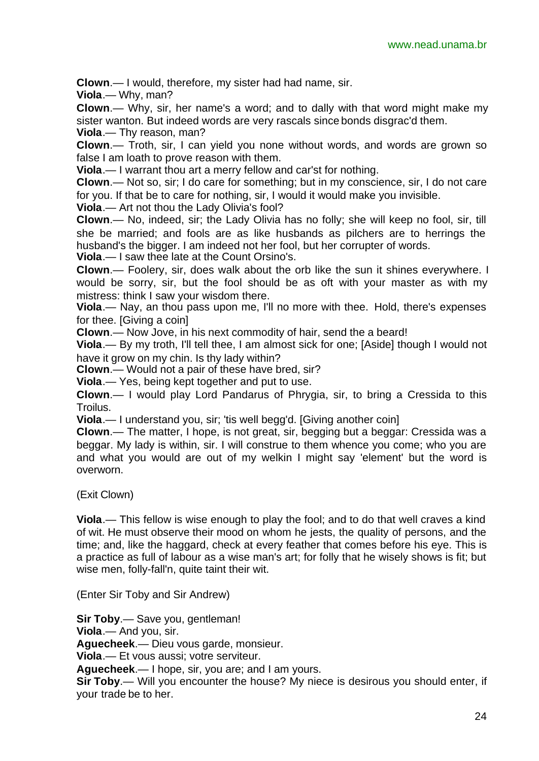**Clown**.— I would, therefore, my sister had had name, sir.

**Viola**.— Why, man?

**Clown**.— Why, sir, her name's a word; and to dally with that word might make my sister wanton. But indeed words are very rascals since bonds disgrac'd them.

**Viola**.— Thy reason, man?

**Clown**.— Troth, sir, I can yield you none without words, and words are grown so false I am loath to prove reason with them.

**Viola**.— I warrant thou art a merry fellow and car'st for nothing.

**Clown**.— Not so, sir; I do care for something; but in my conscience, sir, I do not care for you. If that be to care for nothing, sir, I would it would make you invisible.

**Viola**.— Art not thou the Lady Olivia's fool?

**Clown**.— No, indeed, sir; the Lady Olivia has no folly; she will keep no fool, sir, till she be married; and fools are as like husbands as pilchers are to herrings the husband's the bigger. I am indeed not her fool, but her corrupter of words.

**Viola**.— I saw thee late at the Count Orsino's.

**Clown**.— Foolery, sir, does walk about the orb like the sun it shines everywhere. I would be sorry, sir, but the fool should be as oft with your master as with my mistress: think I saw your wisdom there.

**Viola**.— Nay, an thou pass upon me, I'll no more with thee. Hold, there's expenses for thee. [Giving a coin]

**Clown**.— Now Jove, in his next commodity of hair, send the a beard!

**Viola**.— By my troth, I'll tell thee, I am almost sick for one; [Aside] though I would not have it grow on my chin. Is thy lady within?

**Clown**.— Would not a pair of these have bred, sir?

**Viola**.— Yes, being kept together and put to use.

**Clown**.— I would play Lord Pandarus of Phrygia, sir, to bring a Cressida to this Troilus.

**Viola**.— I understand you, sir; 'tis well begg'd. [Giving another coin]

**Clown**.— The matter, I hope, is not great, sir, begging but a beggar: Cressida was a beggar. My lady is within, sir. I will construe to them whence you come; who you are and what you would are out of my welkin I might say 'element' but the word is overworn.

(Exit Clown)

**Viola**.— This fellow is wise enough to play the fool; and to do that well craves a kind of wit. He must observe their mood on whom he jests, the quality of persons, and the time; and, like the haggard, check at every feather that comes before his eye. This is a practice as full of labour as a wise man's art; for folly that he wisely shows is fit; but wise men, folly-fall'n, quite taint their wit.

(Enter Sir Toby and Sir Andrew)

**Sir Toby**.— Save you, gentleman!

**Viola**.— And you, sir.

**Aguecheek**.— Dieu vous garde, monsieur.

**Viola**.— Et vous aussi; votre serviteur.

**Aguecheek**.— I hope, sir, you are; and I am yours.

**Sir Toby**.— Will you encounter the house? My niece is desirous you should enter, if your trade be to her.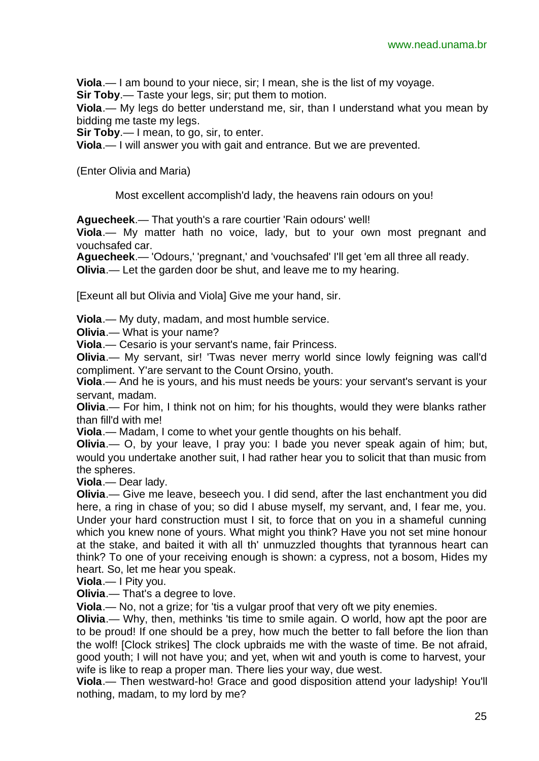**Viola**.— I am bound to your niece, sir; I mean, she is the list of my voyage.

**Sir Toby.**— Taste your legs, sir; put them to motion.

**Viola**.— My legs do better understand me, sir, than I understand what you mean by bidding me taste my legs.

**Sir Toby**.— I mean, to go, sir, to enter.

**Viola**.— I will answer you with gait and entrance. But we are prevented.

(Enter Olivia and Maria)

Most excellent accomplish'd lady, the heavens rain odours on you!

**Aguecheek**.— That youth's a rare courtier 'Rain odours' well!

**Viola**.— My matter hath no voice, lady, but to your own most pregnant and vouchsafed car.

**Aguecheek**.— 'Odours,' 'pregnant,' and 'vouchsafed' I'll get 'em all three all ready.

**Olivia**.— Let the garden door be shut, and leave me to my hearing.

[Exeunt all but Olivia and Viola] Give me your hand, sir.

**Viola**.— My duty, madam, and most humble service.

**Olivia**.— What is your name?

**Viola**.— Cesario is your servant's name, fair Princess.

**Olivia.**— My servant, sir! 'Twas never merry world since lowly feigning was call'd compliment. Y'are servant to the Count Orsino, youth.

**Viola**.— And he is yours, and his must needs be yours: your servant's servant is your servant, madam.

**Olivia**.— For him, I think not on him; for his thoughts, would they were blanks rather than fill'd with me!

**Viola**.— Madam, I come to whet your gentle thoughts on his behalf.

**Olivia**.— O, by your leave, I pray you: I bade you never speak again of him; but, would you undertake another suit, I had rather hear you to solicit that than music from the spheres.

**Viola**.— Dear lady.

**Olivia**.— Give me leave, beseech you. I did send, after the last enchantment you did here, a ring in chase of you; so did I abuse myself, my servant, and, I fear me, you. Under your hard construction must I sit, to force that on you in a shameful cunning which you knew none of yours. What might you think? Have you not set mine honour at the stake, and baited it with all th' unmuzzled thoughts that tyrannous heart can think? To one of your receiving enough is shown: a cypress, not a bosom, Hides my heart. So, let me hear you speak.

**Viola**.— I Pity you.

**Olivia**.— That's a degree to love.

**Viola**.— No, not a grize; for 'tis a vulgar proof that very oft we pity enemies.

**Olivia.**— Why, then, methinks 'tis time to smile again. O world, how apt the poor are to be proud! If one should be a prey, how much the better to fall before the lion than the wolf! [Clock strikes] The clock upbraids me with the waste of time. Be not afraid, good youth; I will not have you; and yet, when wit and youth is come to harvest, your wife is like to reap a proper man. There lies your way, due west.

**Viola**.— Then westward-ho! Grace and good disposition attend your ladyship! You'll nothing, madam, to my lord by me?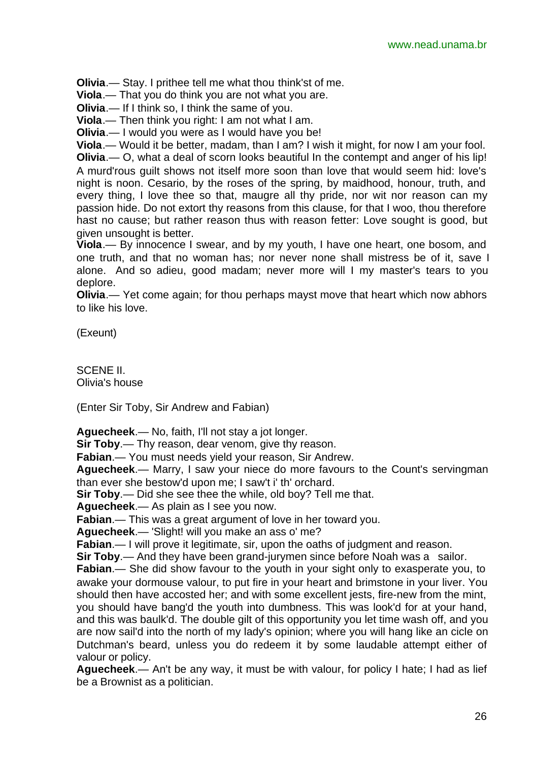**Olivia**.— Stay. I prithee tell me what thou think'st of me.

**Viola**.— That you do think you are not what you are.

**Olivia**.— If I think so, I think the same of you.

**Viola**.— Then think you right: I am not what I am.

**Olivia**.— I would you were as I would have you be!

**Viola**.— Would it be better, madam, than I am? I wish it might, for now I am your fool.

**Olivia**.— O, what a deal of scorn looks beautiful In the contempt and anger of his lip! A murd'rous guilt shows not itself more soon than love that would seem hid: love's night is noon. Cesario, by the roses of the spring, by maidhood, honour, truth, and every thing, I love thee so that, maugre all thy pride, nor wit nor reason can my passion hide. Do not extort thy reasons from this clause, for that I woo, thou therefore hast no cause; but rather reason thus with reason fetter: Love sought is good, but given unsought is better.

**Viola**.— By innocence I swear, and by my youth, I have one heart, one bosom, and one truth, and that no woman has; nor never none shall mistress be of it, save I alone. And so adieu, good madam; never more will I my master's tears to you deplore.

**Olivia**.— Yet come again; for thou perhaps mayst move that heart which now abhors to like his love.

(Exeunt)

SCENE II. Olivia's house

(Enter Sir Toby, Sir Andrew and Fabian)

**Aguecheek**.— No, faith, I'll not stay a jot longer.

**Sir Toby.**— Thy reason, dear venom, give thy reason.

**Fabian**.— You must needs yield your reason, Sir Andrew.

**Aguecheek**.— Marry, I saw your niece do more favours to the Count's servingman than ever she bestow'd upon me; I saw't i' th' orchard.

**Sir Toby**.— Did she see thee the while, old boy? Tell me that.

**Aguecheek**.— As plain as I see you now.

**Fabian**.— This was a great argument of love in her toward you.

**Aguecheek**.— 'Slight! will you make an ass o' me?

**Fabian.**— I will prove it legitimate, sir, upon the oaths of judgment and reason.

**Sir Toby.**— And they have been grand-jurymen since before Noah was a sailor.

**Fabian**.— She did show favour to the youth in your sight only to exasperate you, to awake your dormouse valour, to put fire in your heart and brimstone in your liver. You should then have accosted her; and with some excellent jests, fire-new from the mint, you should have bang'd the youth into dumbness. This was look'd for at your hand, and this was baulk'd. The double gilt of this opportunity you let time wash off, and you are now sail'd into the north of my lady's opinion; where you will hang like an cicle on Dutchman's beard, unless you do redeem it by some laudable attempt either of valour or policy.

**Aguecheek**.— An't be any way, it must be with valour, for policy I hate; I had as lief be a Brownist as a politician.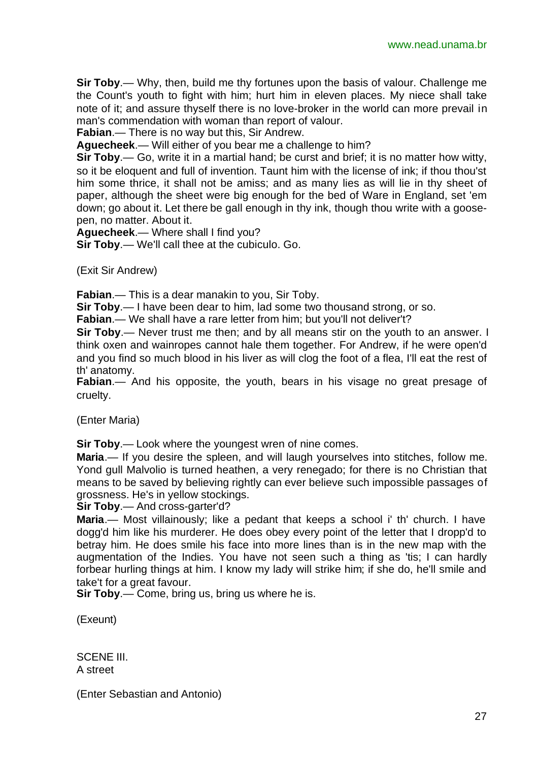**Sir Toby**.— Why, then, build me thy fortunes upon the basis of valour. Challenge me the Count's youth to fight with him; hurt him in eleven places. My niece shall take note of it; and assure thyself there is no love-broker in the world can more prevail in man's commendation with woman than report of valour.

**Fabian**.— There is no way but this, Sir Andrew.

**Aguecheek**.— Will either of you bear me a challenge to him?

**Sir Toby**.— Go, write it in a martial hand; be curst and brief; it is no matter how witty, so it be eloquent and full of invention. Taunt him with the license of ink; if thou thou'st him some thrice, it shall not be amiss; and as many lies as will lie in thy sheet of paper, although the sheet were big enough for the bed of Ware in England, set 'em down; go about it. Let there be gall enough in thy ink, though thou write with a goosepen, no matter. About it.

**Aguecheek**.— Where shall I find you?

**Sir Toby**.— We'll call thee at the cubiculo. Go.

(Exit Sir Andrew)

**Fabian**.— This is a dear manakin to you, Sir Toby.

**Sir Toby**.— I have been dear to him, lad some two thousand strong, or so.

**Fabian**.— We shall have a rare letter from him; but you'll not deliver't?

**Sir Toby**.— Never trust me then; and by all means stir on the youth to an answer. I think oxen and wainropes cannot hale them together. For Andrew, if he were open'd and you find so much blood in his liver as will clog the foot of a flea, I'll eat the rest of th' anatomy.

**Fabian**.— And his opposite, the youth, bears in his visage no great presage of cruelty.

(Enter Maria)

**Sir Toby.**— Look where the youngest wren of nine comes.

**Maria**.— If you desire the spleen, and will laugh yourselves into stitches, follow me. Yond gull Malvolio is turned heathen, a very renegado; for there is no Christian that means to be saved by believing rightly can ever believe such impossible passages of grossness. He's in yellow stockings.

**Sir Toby**.— And cross-garter'd?

**Maria**.— Most villainously; like a pedant that keeps a school i' th' church. I have dogg'd him like his murderer. He does obey every point of the letter that I dropp'd to betray him. He does smile his face into more lines than is in the new map with the augmentation of the Indies. You have not seen such a thing as 'tis; I can hardly forbear hurling things at him. I know my lady will strike him; if she do, he'll smile and take't for a great favour.

**Sir Toby**.— Come, bring us, bring us where he is.

(Exeunt)

SCENE III. A street

(Enter Sebastian and Antonio)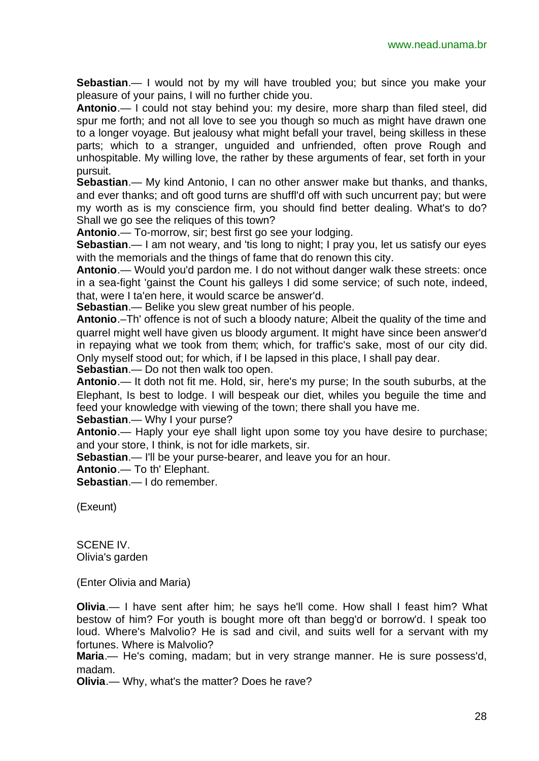**Sebastian**.— I would not by my will have troubled you; but since you make your pleasure of your pains, I will no further chide you.

**Antonio**.— I could not stay behind you: my desire, more sharp than filed steel, did spur me forth; and not all love to see you though so much as might have drawn one to a longer voyage. But jealousy what might befall your travel, being skilless in these parts; which to a stranger, unguided and unfriended, often prove Rough and unhospitable. My willing love, the rather by these arguments of fear, set forth in your pursuit.

**Sebastian**.— My kind Antonio, I can no other answer make but thanks, and thanks, and ever thanks; and oft good turns are shuffl'd off with such uncurrent pay; but were my worth as is my conscience firm, you should find better dealing. What's to do? Shall we go see the reliques of this town?

**Antonio**.— To-morrow, sir; best first go see your lodging.

**Sebastian.**— I am not weary, and 'tis long to night; I pray you, let us satisfy our eyes with the memorials and the things of fame that do renown this city.

**Antonio**.— Would you'd pardon me. I do not without danger walk these streets: once in a sea-fight 'gainst the Count his galleys I did some service; of such note, indeed, that, were I ta'en here, it would scarce be answer'd.

**Sebastian**.— Belike you slew great number of his people.

**Antonio**.–Th' offence is not of such a bloody nature; Albeit the quality of the time and quarrel might well have given us bloody argument. It might have since been answer'd in repaying what we took from them; which, for traffic's sake, most of our city did. Only myself stood out; for which, if I be lapsed in this place, I shall pay dear.

**Sebastian**.— Do not then walk too open.

**Antonio**.— It doth not fit me. Hold, sir, here's my purse; In the south suburbs, at the Elephant, Is best to lodge. I will bespeak our diet, whiles you beguile the time and feed your knowledge with viewing of the town; there shall you have me.

**Sebastian**.— Why I your purse?

**Antonio**.— Haply your eye shall light upon some toy you have desire to purchase; and your store, I think, is not for idle markets, sir.

**Sebastian.**— I'll be your purse-bearer, and leave you for an hour.

**Antonio**.— To th' Elephant.

**Sebastian**.— I do remember.

(Exeunt)

SCENE IV. Olivia's garden

(Enter Olivia and Maria)

**Olivia.**— I have sent after him; he says he'll come. How shall I feast him? What bestow of him? For youth is bought more oft than begg'd or borrow'd. I speak too loud. Where's Malvolio? He is sad and civil, and suits well for a servant with my fortunes. Where is Malvolio?

**Maria**.— He's coming, madam; but in very strange manner. He is sure possess'd, madam.

**Olivia**.— Why, what's the matter? Does he rave?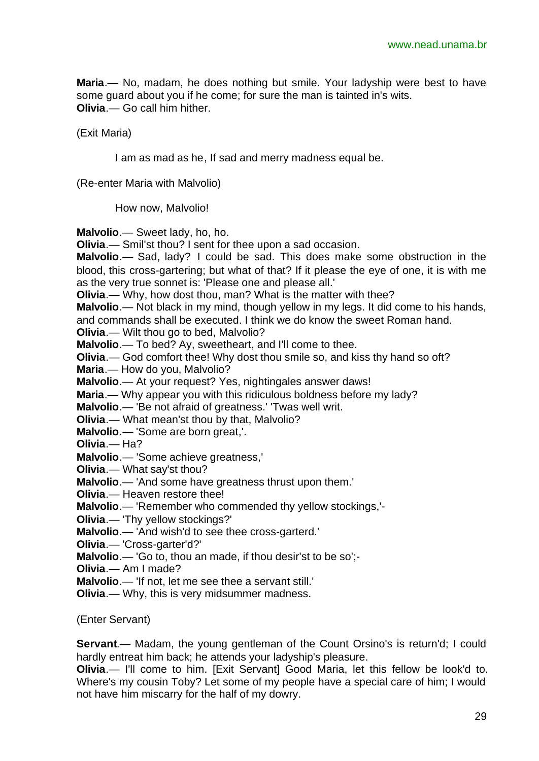**Maria**.— No, madam, he does nothing but smile. Your ladyship were best to have some guard about you if he come; for sure the man is tainted in's wits. **Olivia**.— Go call him hither.

(Exit Maria)

I am as mad as he, If sad and merry madness equal be.

(Re-enter Maria with Malvolio)

How now, Malvolio!

**Malvolio**.— Sweet lady, ho, ho.

**Olivia**.— Smil'st thou? I sent for thee upon a sad occasion.

**Malvolio**.— Sad, lady? I could be sad. This does make some obstruction in the blood, this cross-gartering; but what of that? If it please the eye of one, it is with me as the very true sonnet is: 'Please one and please all.'

**Olivia**.— Why, how dost thou, man? What is the matter with thee?

**Malvolio**.— Not black in my mind, though yellow in my legs. It did come to his hands,

and commands shall be executed. I think we do know the sweet Roman hand.

**Olivia.**— Wilt thou go to bed, Malvolio?

**Malvolio**.— To bed? Ay, sweetheart, and I'll come to thee.

**Olivia**.— God comfort thee! Why dost thou smile so, and kiss thy hand so oft?

**Maria**.— How do you, Malvolio?

**Malvolio**.— At your request? Yes, nightingales answer daws!

**Maria.**— Why appear you with this ridiculous boldness before my lady?

**Malvolio**.— 'Be not afraid of greatness.' 'Twas well writ.

**Olivia**.— What mean'st thou by that, Malvolio?

**Malvolio**.— 'Some are born great,'.

**Olivia**.— Ha?

**Malvolio**.— 'Some achieve greatness,'

**Olivia**.— What say'st thou?

**Malvolio**.— 'And some have greatness thrust upon them.'

**Olivia**.— Heaven restore thee!

**Malvolio**.— 'Remember who commended thy yellow stockings,'-

**Olivia**.— 'Thy yellow stockings?'

**Malvolio**.— 'And wish'd to see thee cross-garterd.'

**Olivia**.— 'Cross-garter'd?'

**Malvolio**.— 'Go to, thou an made, if thou desir'st to be so';-

**Olivia**.— Am I made?

**Malvolio**.— 'If not, let me see thee a servant still.'

**Olivia**.— Why, this is very midsummer madness.

(Enter Servant)

**Servant.**— Madam, the young gentleman of the Count Orsino's is return'd; I could hardly entreat him back; he attends your ladyship's pleasure.

**Olivia.**— I'll come to him. [Exit Servant] Good Maria, let this fellow be look'd to. Where's my cousin Toby? Let some of my people have a special care of him; I would not have him miscarry for the half of my dowry.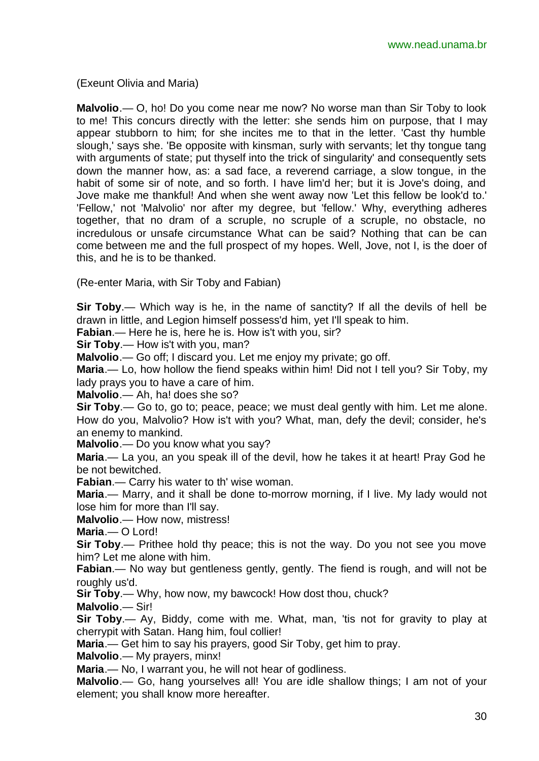(Exeunt Olivia and Maria)

**Malvolio**.— O, ho! Do you come near me now? No worse man than Sir Toby to look to me! This concurs directly with the letter: she sends him on purpose, that I may appear stubborn to him; for she incites me to that in the letter. 'Cast thy humble slough,' says she. 'Be opposite with kinsman, surly with servants; let thy tongue tang with arguments of state; put thyself into the trick of singularity' and consequently sets down the manner how, as: a sad face, a reverend carriage, a slow tongue, in the habit of some sir of note, and so forth. I have lim'd her; but it is Jove's doing, and Jove make me thankful! And when she went away now 'Let this fellow be look'd to.' 'Fellow,' not 'Malvolio' nor after my degree, but 'fellow.' Why, everything adheres together, that no dram of a scruple, no scruple of a scruple, no obstacle, no incredulous or unsafe circumstance What can be said? Nothing that can be can come between me and the full prospect of my hopes. Well, Jove, not I, is the doer of this, and he is to be thanked.

(Re-enter Maria, with Sir Toby and Fabian)

**Sir Toby**.— Which way is he, in the name of sanctity? If all the devils of hell be drawn in little, and Legion himself possess'd him, yet I'll speak to him.

**Fabian**.— Here he is, here he is. How is't with you, sir?

**Sir Toby**.— How is't with you, man?

**Malvolio**.— Go off; I discard you. Let me enjoy my private; go off.

**Maria**.— Lo, how hollow the fiend speaks within him! Did not I tell you? Sir Toby, my lady prays you to have a care of him.

**Malvolio**.— Ah, ha! does she so?

**Sir Toby**.— Go to, go to; peace, peace; we must deal gently with him. Let me alone. How do you, Malvolio? How is't with you? What, man, defy the devil; consider, he's an enemy to mankind.

**Malvolio**.— Do you know what you say?

**Maria**.— La you, an you speak ill of the devil, how he takes it at heart! Pray God he be not bewitched.

**Fabian**.— Carry his water to th' wise woman.

**Maria**.— Marry, and it shall be done to-morrow morning, if I live. My lady would not lose him for more than I'll say.

**Malvolio**.— How now, mistress!

**Maria**.— O Lord!

**Sir Toby**.— Prithee hold thy peace; this is not the way. Do you not see you move him? Let me alone with him.

**Fabian.**— No way but gentleness gently, gently. The fiend is rough, and will not be roughly us'd.

**Sir Toby**.— Why, how now, my bawcock! How dost thou, chuck?

**Malvolio**.— Sir!

**Sir Toby**.— Ay, Biddy, come with me. What, man, 'tis not for gravity to play at cherrypit with Satan. Hang him, foul collier!

**Maria**.— Get him to say his prayers, good Sir Toby, get him to pray.

**Malvolio**.— My prayers, minx!

**Maria**.— No, I warrant you, he will not hear of godliness.

**Malvolio**.— Go, hang yourselves all! You are idle shallow things; I am not of your element; you shall know more hereafter.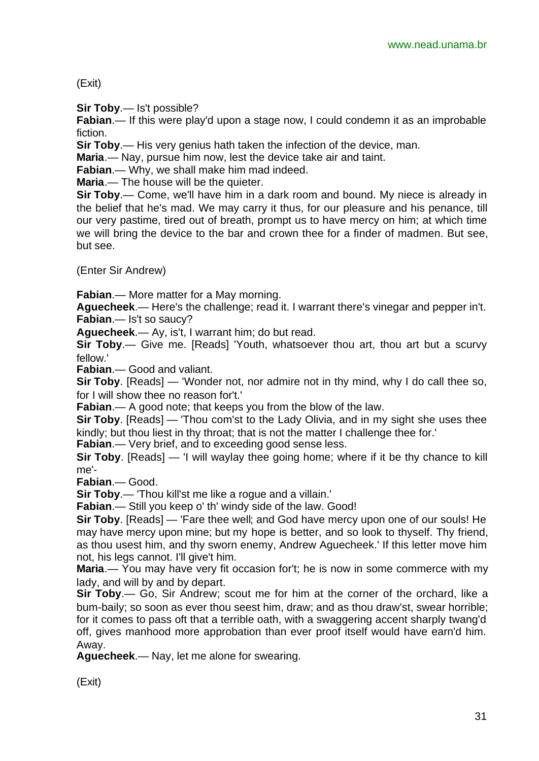(Exit)

**Sir Toby**.— Is't possible?

**Fabian**.— If this were play'd upon a stage now, I could condemn it as an improbable fiction.

**Sir Toby**.— His very genius hath taken the infection of the device, man.

**Maria**.— Nay, pursue him now, lest the device take air and taint.

**Fabian**.— Why, we shall make him mad indeed.

**Maria.**— The house will be the quieter.

**Sir Toby**.— Come, we'll have him in a dark room and bound. My niece is already in the belief that he's mad. We may carry it thus, for our pleasure and his penance, till our very pastime, tired out of breath, prompt us to have mercy on him; at which time we will bring the device to the bar and crown thee for a finder of madmen. But see, but see.

(Enter Sir Andrew)

**Fabian**.— More matter for a May morning.

**Aguecheek**.— Here's the challenge; read it. I warrant there's vinegar and pepper in't. **Fabian**.— Is't so saucy?

**Aguecheek**.— Ay, is't, I warrant him; do but read.

**Sir Toby.**— Give me. [Reads] 'Youth, whatsoever thou art, thou art but a scurvy fellow.'

**Fabian**.— Good and valiant.

**Sir Toby**. [Reads] — 'Wonder not, nor admire not in thy mind, why I do call thee so, for I will show thee no reason for't.'

**Fabian**.— A good note; that keeps you from the blow of the law.

**Sir Toby**. [Reads] — 'Thou com'st to the Lady Olivia, and in my sight she uses thee kindly; but thou liest in thy throat; that is not the matter I challenge thee for.'

**Fabian.**— Very brief, and to exceeding good sense less.

**Sir Toby**. [Reads] — 'I will waylay thee going home; where if it be thy chance to kill me'-

**Fabian**.— Good.

**Sir Toby**.— 'Thou kill'st me like a rogue and a villain.'

**Fabian**.— Still you keep o' th' windy side of the law. Good!

**Sir Toby**. [Reads] — 'Fare thee well; and God have mercy upon one of our souls! He may have mercy upon mine; but my hope is better, and so look to thyself. Thy friend, as thou usest him, and thy sworn enemy, Andrew Aguecheek.' If this letter move him not, his legs cannot. I'll give't him.

**Maria**.— You may have very fit occasion for't; he is now in some commerce with my lady, and will by and by depart.

**Sir Toby**.— Go, Sir Andrew; scout me for him at the corner of the orchard, like a bum-baily; so soon as ever thou seest him, draw; and as thou draw'st, swear horrible; for it comes to pass oft that a terrible oath, with a swaggering accent sharply twang'd off, gives manhood more approbation than ever proof itself would have earn'd him. Away.

**Aguecheek**.— Nay, let me alone for swearing.

(Exit)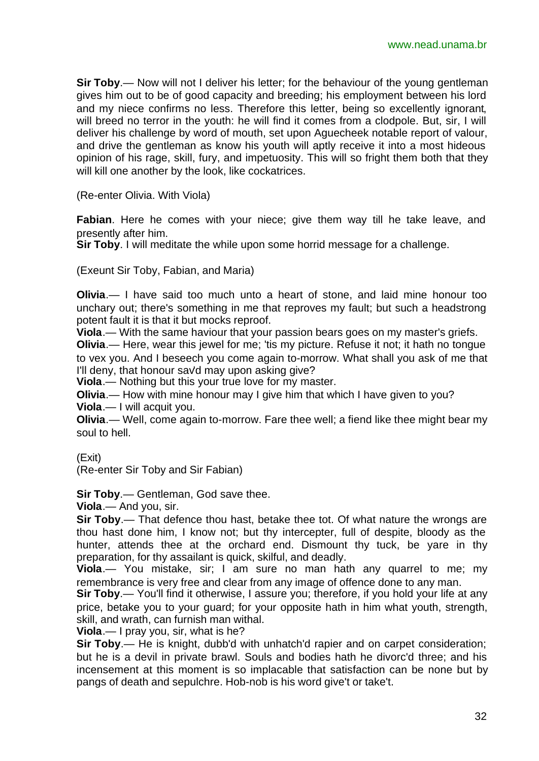**Sir Toby**.— Now will not I deliver his letter; for the behaviour of the young gentleman gives him out to be of good capacity and breeding; his employment between his lord and my niece confirms no less. Therefore this letter, being so excellently ignorant, will breed no terror in the youth: he will find it comes from a clodpole. But, sir, I will deliver his challenge by word of mouth, set upon Aguecheek notable report of valour, and drive the gentleman as know his youth will aptly receive it into a most hideous opinion of his rage, skill, fury, and impetuosity. This will so fright them both that they will kill one another by the look, like cockatrices.

(Re-enter Olivia. With Viola)

**Fabian**. Here he comes with your niece; give them way till he take leave, and presently after him.

**Sir Toby**. I will meditate the while upon some horrid message for a challenge.

(Exeunt Sir Toby, Fabian, and Maria)

**Olivia**.— I have said too much unto a heart of stone, and laid mine honour too unchary out; there's something in me that reproves my fault; but such a headstrong potent fault it is that it but mocks reproof.

**Viola**.— With the same haviour that your passion bears goes on my master's griefs.

**Olivia**.— Here, wear this jewel for me; 'tis my picture. Refuse it not; it hath no tongue to vex you. And I beseech you come again to-morrow. What shall you ask of me that I'll deny, that honour savd may upon asking give?

**Viola**.— Nothing but this your true love for my master.

**Olivia.**— How with mine honour may I give him that which I have given to you?

**Viola**.— I will acquit you.

**Olivia**.— Well, come again to-morrow. Fare thee well; a fiend like thee might bear my soul to hell.

(Exit)

(Re-enter Sir Toby and Sir Fabian)

**Sir Toby**.— Gentleman, God save thee.

**Viola**.— And you, sir.

**Sir Toby**.— That defence thou hast, betake thee tot. Of what nature the wrongs are thou hast done him, I know not; but thy intercepter, full of despite, bloody as the hunter, attends thee at the orchard end. Dismount thy tuck, be yare in thy preparation, for thy assailant is quick, skilful, and deadly.

**Viola**.— You mistake, sir; I am sure no man hath any quarrel to me; my remembrance is very free and clear from any image of offence done to any man.

**Sir Toby.**— You'll find it otherwise, I assure you; therefore, if you hold your life at any price, betake you to your guard; for your opposite hath in him what youth, strength, skill, and wrath, can furnish man withal.

**Viola**.— I pray you, sir, what is he?

**Sir Toby**.— He is knight, dubb'd with unhatch'd rapier and on carpet consideration; but he is a devil in private brawl. Souls and bodies hath he divorc'd three; and his incensement at this moment is so implacable that satisfaction can be none but by pangs of death and sepulchre. Hob-nob is his word give't or take't.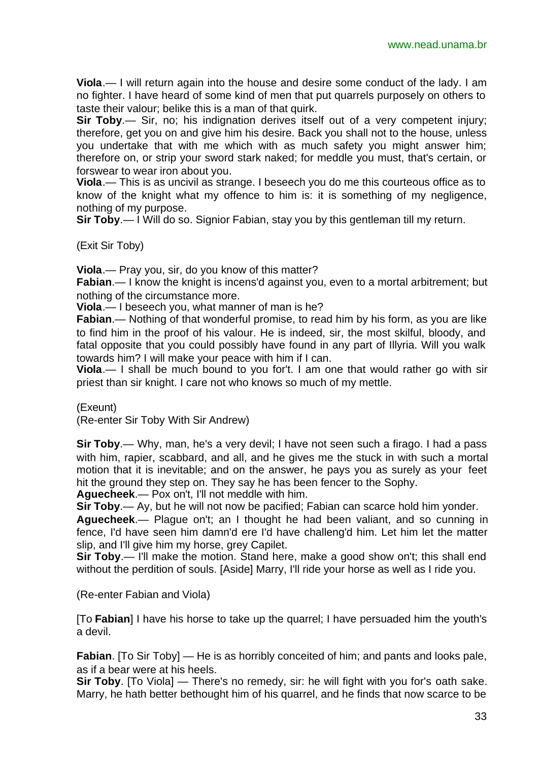**Viola**.— I will return again into the house and desire some conduct of the lady. I am no fighter. I have heard of some kind of men that put quarrels purposely on others to taste their valour; belike this is a man of that quirk.

**Sir Toby**.— Sir, no; his indignation derives itself out of a very competent injury; therefore, get you on and give him his desire. Back you shall not to the house, unless you undertake that with me which with as much safety you might answer him; therefore on, or strip your sword stark naked; for meddle you must, that's certain, or forswear to wear iron about you.

**Viola**.— This is as uncivil as strange. I beseech you do me this courteous office as to know of the knight what my offence to him is: it is something of my negligence, nothing of my purpose.

**Sir Toby**.— I Will do so. Signior Fabian, stay you by this gentleman till my return.

(Exit Sir Toby)

**Viola**.— Pray you, sir, do you know of this matter?

**Fabian**.— I know the knight is incens'd against you, even to a mortal arbitrement; but nothing of the circumstance more.

**Viola**.— I beseech you, what manner of man is he?

**Fabian**.— Nothing of that wonderful promise, to read him by his form, as you are like to find him in the proof of his valour. He is indeed, sir, the most skilful, bloody, and fatal opposite that you could possibly have found in any part of Illyria. Will you walk towards him? I will make your peace with him if I can.

**Viola**.— I shall be much bound to you for't. I am one that would rather go with sir priest than sir knight. I care not who knows so much of my mettle.

(Exeunt)

(Re-enter Sir Toby With Sir Andrew)

**Sir Toby**.— Why, man, he's a very devil; I have not seen such a firago. I had a pass with him, rapier, scabbard, and all, and he gives me the stuck in with such a mortal motion that it is inevitable; and on the answer, he pays you as surely as your feet hit the ground they step on. They say he has been fencer to the Sophy.

**Aguecheek**.— Pox on't, I'll not meddle with him.

**Sir Toby**.— Ay, but he will not now be pacified; Fabian can scarce hold him yonder.

**Aguecheek**.— Plague on't; an I thought he had been valiant, and so cunning in fence, I'd have seen him damn'd ere I'd have challeng'd him. Let him let the matter slip, and I'll give him my horse, grey Capilet.

**Sir Toby**.— I'll make the motion. Stand here, make a good show on't; this shall end without the perdition of souls. [Aside] Marry, I'll ride your horse as well as I ride you.

(Re-enter Fabian and Viola)

[To **Fabian**] I have his horse to take up the quarrel; I have persuaded him the youth's a devil.

**Fabian**. [To Sir Toby] — He is as horribly conceited of him; and pants and looks pale, as if a bear were at his heels.

**Sir Toby**. [To Viola] — There's no remedy, sir: he will fight with you for's oath sake. Marry, he hath better bethought him of his quarrel, and he finds that now scarce to be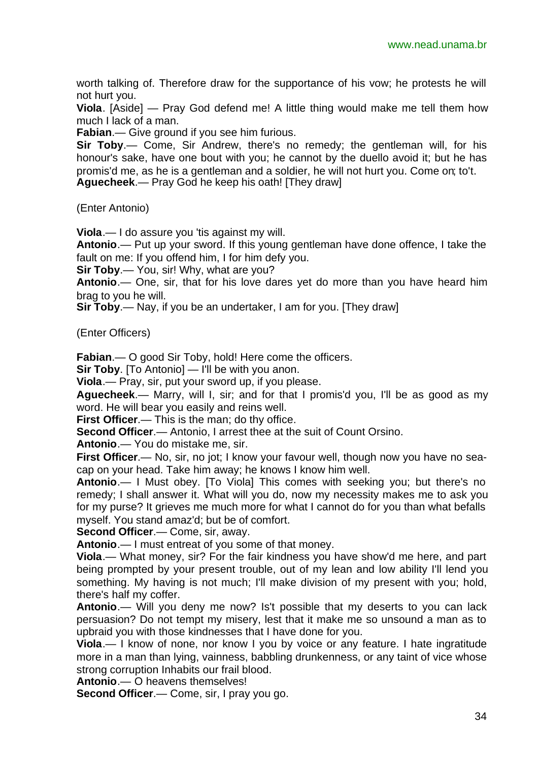worth talking of. Therefore draw for the supportance of his vow; he protests he will not hurt you.

**Viola**. [Aside] — Pray God defend me! A little thing would make me tell them how much I lack of a man.

**Fabian**.— Give ground if you see him furious.

**Sir Toby**.— Come, Sir Andrew, there's no remedy; the gentleman will, for his honour's sake, have one bout with you; he cannot by the duello avoid it; but he has promis'd me, as he is a gentleman and a soldier, he will not hurt you. Come on; to't. **Aguecheek**.— Pray God he keep his oath! [They draw]

(Enter Antonio)

**Viola**.— I do assure you 'tis against my will.

**Antonio**.— Put up your sword. If this young gentleman have done offence, I take the fault on me: If you offend him, I for him defy you.

**Sir Toby**.— You, sir! Why, what are you?

**Antonio**.— One, sir, that for his love dares yet do more than you have heard him brag to you he will.

**Sir Toby**.— Nay, if you be an undertaker, I am for you. [They draw]

(Enter Officers)

**Fabian.**— O good Sir Toby, hold! Here come the officers.

**Sir Toby**. [To Antonio] — I'll be with you anon.

**Viola**.— Pray, sir, put your sword up, if you please.

**Aguecheek**.— Marry, will I, sir; and for that I promis'd you, I'll be as good as my word. He will bear you easily and reins well.

**First Officer.**— This is the man; do thy office.

**Second Officer**.— Antonio, I arrest thee at the suit of Count Orsino.

**Antonio**.— You do mistake me, sir.

**First Officer.**— No, sir, no jot; I know your favour well, though now you have no seacap on your head. Take him away; he knows I know him well.

**Antonio**.— I Must obey. [To Viola] This comes with seeking you; but there's no remedy; I shall answer it. What will you do, now my necessity makes me to ask you for my purse? It grieves me much more for what I cannot do for you than what befalls myself. You stand amaz'd; but be of comfort.

**Second Officer**.— Come, sir, away.

**Antonio**.— I must entreat of you some of that money.

**Viola**.— What money, sir? For the fair kindness you have show'd me here, and part being prompted by your present trouble, out of my lean and low ability I'll lend you something. My having is not much; I'll make division of my present with you; hold, there's half my coffer.

**Antonio**.— Will you deny me now? Is't possible that my deserts to you can lack persuasion? Do not tempt my misery, lest that it make me so unsound a man as to upbraid you with those kindnesses that I have done for you.

**Viola**.— I know of none, nor know I you by voice or any feature. I hate ingratitude more in a man than lying, vainness, babbling drunkenness, or any taint of vice whose strong corruption Inhabits our frail blood.

**Antonio**.— O heavens themselves!

**Second Officer**.— Come, sir, I pray you go.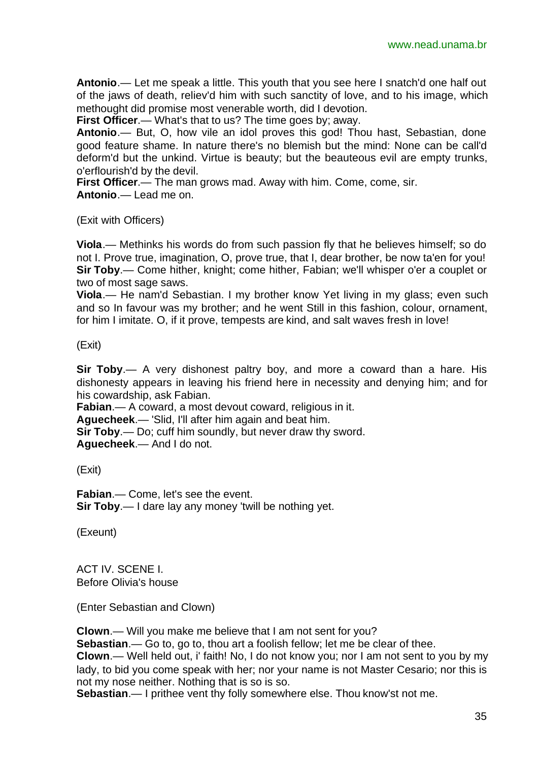**Antonio**.— Let me speak a little. This youth that you see here I snatch'd one half out of the jaws of death, reliev'd him with such sanctity of love, and to his image, which methought did promise most venerable worth, did I devotion.

**First Officer.**— What's that to us? The time goes by; away.

**Antonio**.— But, O, how vile an idol proves this god! Thou hast, Sebastian, done good feature shame. In nature there's no blemish but the mind: None can be call'd deform'd but the unkind. Virtue is beauty; but the beauteous evil are empty trunks, o'erflourish'd by the devil.

**First Officer**.— The man grows mad. Away with him. Come, come, sir. **Antonio**.— Lead me on.

(Exit with Officers)

**Viola**.— Methinks his words do from such passion fly that he believes himself; so do not I. Prove true, imagination, O, prove true, that I, dear brother, be now ta'en for you! **Sir Toby**.— Come hither, knight; come hither, Fabian; we'll whisper o'er a couplet or two of most sage saws.

**Viola**.— He nam'd Sebastian. I my brother know Yet living in my glass; even such and so In favour was my brother; and he went Still in this fashion, colour, ornament, for him I imitate. O, if it prove, tempests are kind, and salt waves fresh in love!

#### (Exit)

**Sir Toby**.— A very dishonest paltry boy, and more a coward than a hare. His dishonesty appears in leaving his friend here in necessity and denying him; and for his cowardship, ask Fabian.

**Fabian**.— A coward, a most devout coward, religious in it.

**Aguecheek**.— 'Slid, I'll after him again and beat him.

**Sir Toby**.— Do; cuff him soundly, but never draw thy sword.

**Aguecheek**.— And I do not.

(Exit)

**Fabian**.— Come, let's see the event. **Sir Toby**.— I dare lay any money 'twill be nothing yet.

(Exeunt)

ACT IV. SCENE I. Before Olivia's house

(Enter Sebastian and Clown)

**Clown**.— Will you make me believe that I am not sent for you?

**Sebastian**.— Go to, go to, thou art a foolish fellow; let me be clear of thee.

**Clown**.— Well held out, i' faith! No, I do not know you; nor I am not sent to you by my lady, to bid you come speak with her; nor your name is not Master Cesario; nor this is not my nose neither. Nothing that is so is so.

**Sebastian**.— I prithee vent thy folly somewhere else. Thou know'st not me.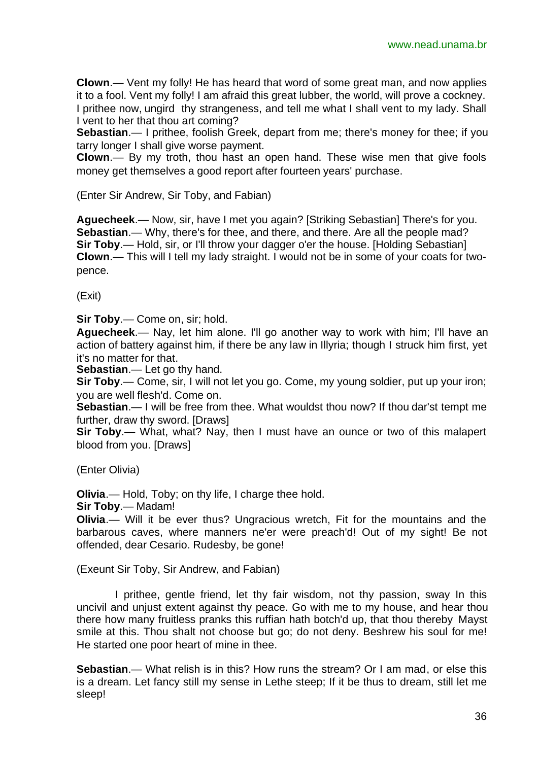**Clown**.— Vent my folly! He has heard that word of some great man, and now applies it to a fool. Vent my folly! I am afraid this great lubber, the world, will prove a cockney. I prithee now, ungird thy strangeness, and tell me what I shall vent to my lady. Shall I vent to her that thou art coming?

**Sebastian.**— I prithee, foolish Greek, depart from me; there's money for thee; if you tarry longer I shall give worse payment.

**Clown**.— By my troth, thou hast an open hand. These wise men that give fools money get themselves a good report after fourteen years' purchase.

(Enter Sir Andrew, Sir Toby, and Fabian)

**Aguecheek**.— Now, sir, have I met you again? [Striking Sebastian] There's for you. **Sebastian.**— Why, there's for thee, and there, and there. Are all the people mad? **Sir Toby.**— Hold, sir, or I'll throw your dagger o'er the house. [Holding Sebastian] **Clown**.— This will I tell my lady straight. I would not be in some of your coats for twopence.

(Exit)

**Sir Toby**.— Come on, sir; hold.

**Aguecheek**.— Nay, let him alone. I'll go another way to work with him; I'll have an action of battery against him, if there be any law in Illyria; though I struck him first, yet it's no matter for that.

**Sebastian**.— Let go thy hand.

**Sir Toby**.— Come, sir, I will not let you go. Come, my young soldier, put up your iron; you are well flesh'd. Come on.

**Sebastian**.— I will be free from thee. What wouldst thou now? If thou dar'st tempt me further, draw thy sword. [Draws]

**Sir Toby**.— What, what? Nay, then I must have an ounce or two of this malapert blood from you. [Draws]

(Enter Olivia)

**Olivia**.— Hold, Toby; on thy life, I charge thee hold.

**Sir Toby**.— Madam!

**Olivia**.— Will it be ever thus? Ungracious wretch, Fit for the mountains and the barbarous caves, where manners ne'er were preach'd! Out of my sight! Be not offended, dear Cesario. Rudesby, be gone!

(Exeunt Sir Toby, Sir Andrew, and Fabian)

I prithee, gentle friend, let thy fair wisdom, not thy passion, sway In this uncivil and unjust extent against thy peace. Go with me to my house, and hear thou there how many fruitless pranks this ruffian hath botch'd up, that thou thereby Mayst smile at this. Thou shalt not choose but go; do not deny. Beshrew his soul for me! He started one poor heart of mine in thee.

**Sebastian**.— What relish is in this? How runs the stream? Or I am mad, or else this is a dream. Let fancy still my sense in Lethe steep; If it be thus to dream, still let me sleep!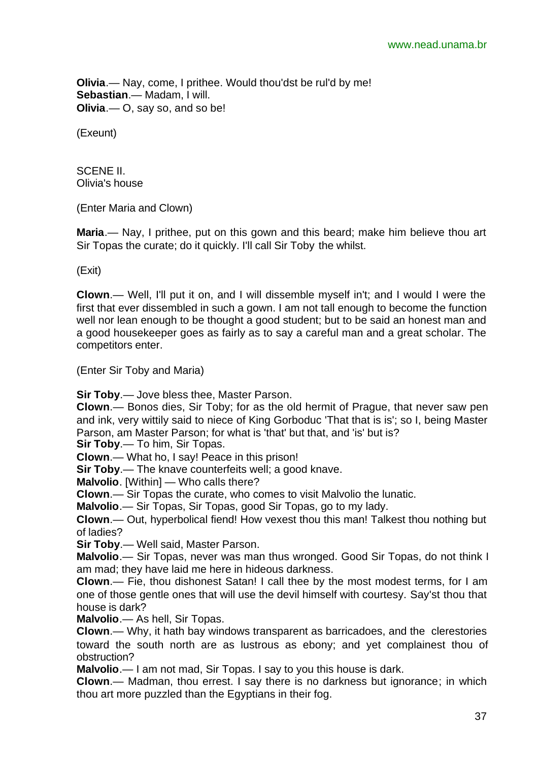**Olivia**.— Nay, come, I prithee. Would thou'dst be rul'd by me! **Sebastian**.— Madam, I will. **Olivia**.— O, say so, and so be!

(Exeunt)

SCENE II. Olivia's house

(Enter Maria and Clown)

**Maria**.— Nay, I prithee, put on this gown and this beard; make him believe thou art Sir Topas the curate; do it quickly. I'll call Sir Toby the whilst.

(Exit)

**Clown**.— Well, I'll put it on, and I will dissemble myself in't; and I would I were the first that ever dissembled in such a gown. I am not tall enough to become the function well nor lean enough to be thought a good student; but to be said an honest man and a good housekeeper goes as fairly as to say a careful man and a great scholar. The competitors enter.

(Enter Sir Toby and Maria)

**Sir Toby**.— Jove bless thee, Master Parson.

**Clown**.— Bonos dies, Sir Toby; for as the old hermit of Prague, that never saw pen and ink, very wittily said to niece of King Gorboduc 'That that is is'; so I, being Master Parson, am Master Parson; for what is 'that' but that, and 'is' but is?

**Sir Toby**.— To him, Sir Topas.

**Clown**.— What ho, I say! Peace in this prison!

**Sir Toby.**— The knave counterfeits well; a good knave.

**Malvolio**. [Within] — Who calls there?

**Clown**.— Sir Topas the curate, who comes to visit Malvolio the lunatic.

**Malvolio**.— Sir Topas, Sir Topas, good Sir Topas, go to my lady.

**Clown**.— Out, hyperbolical fiend! How vexest thou this man! Talkest thou nothing but of ladies?

**Sir Toby**.— Well said, Master Parson.

**Malvolio**.— Sir Topas, never was man thus wronged. Good Sir Topas, do not think I am mad; they have laid me here in hideous darkness.

**Clown**.— Fie, thou dishonest Satan! I call thee by the most modest terms, for I am one of those gentle ones that will use the devil himself with courtesy. Say'st thou that house is dark?

**Malvolio**.— As hell, Sir Topas.

**Clown**.— Why, it hath bay windows transparent as barricadoes, and the clerestories toward the south north are as lustrous as ebony; and yet complainest thou of obstruction?

**Malvolio**.— I am not mad, Sir Topas. I say to you this house is dark.

**Clown**.— Madman, thou errest. I say there is no darkness but ignorance; in which thou art more puzzled than the Egyptians in their fog.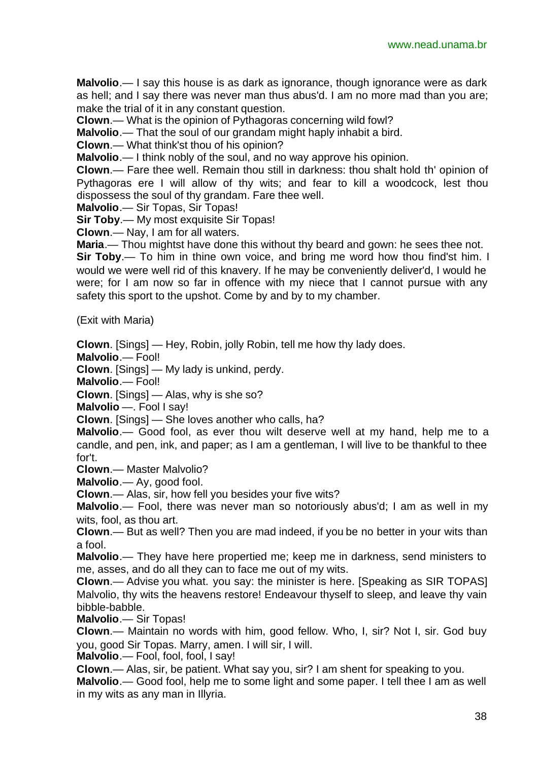**Malvolio**.— I say this house is as dark as ignorance, though ignorance were as dark as hell; and I say there was never man thus abus'd. I am no more mad than you are; make the trial of it in any constant question.

**Clown**.— What is the opinion of Pythagoras concerning wild fowl?

**Malvolio**.— That the soul of our grandam might haply inhabit a bird.

**Clown**.— What think'st thou of his opinion?

**Malvolio**.— I think nobly of the soul, and no way approve his opinion.

**Clown**.— Fare thee well. Remain thou still in darkness: thou shalt hold th' opinion of Pythagoras ere I will allow of thy wits; and fear to kill a woodcock, lest thou dispossess the soul of thy grandam. Fare thee well.

**Malvolio**.— Sir Topas, Sir Topas!

**Sir Toby**.— My most exquisite Sir Topas!

**Clown**.— Nay, I am for all waters.

**Maria**.— Thou mightst have done this without thy beard and gown: he sees thee not.

**Sir Toby**.— To him in thine own voice, and bring me word how thou find'st him. I would we were well rid of this knavery. If he may be conveniently deliver'd, I would he were; for I am now so far in offence with my niece that I cannot pursue with any safety this sport to the upshot. Come by and by to my chamber.

(Exit with Maria)

**Clown**. [Sings] — Hey, Robin, jolly Robin, tell me how thy lady does.

**Malvolio**.— Fool!

**Clown**. [Sings] — My lady is unkind, perdy.

**Malvolio**.— Fool!

**Clown**. [Sings] — Alas, why is she so?

**Malvolio** —. Fool I say!

**Clown**. [Sings] — She loves another who calls, ha?

**Malvolio**.— Good fool, as ever thou wilt deserve well at my hand, help me to a candle, and pen, ink, and paper; as I am a gentleman, I will live to be thankful to thee for't.

**Clown**.— Master Malvolio?

**Malvolio**.— Ay, good fool.

**Clown**.— Alas, sir, how fell you besides your five wits?

**Malvolio**.— Fool, there was never man so notoriously abus'd; I am as well in my wits, fool, as thou art.

**Clown**.— But as well? Then you are mad indeed, if you be no better in your wits than a fool.

**Malvolio**.— They have here propertied me; keep me in darkness, send ministers to me, asses, and do all they can to face me out of my wits.

**Clown**.— Advise you what. you say: the minister is here. [Speaking as SIR TOPAS] Malvolio, thy wits the heavens restore! Endeavour thyself to sleep, and leave thy vain bibble-babble.

**Malvolio**.— Sir Topas!

**Clown**.— Maintain no words with him, good fellow. Who, I, sir? Not I, sir. God buy you, good Sir Topas. Marry, amen. I will sir, I will.

**Malvolio**.— Fool, fool, fool, I say!

**Clown**.— Alas, sir, be patient. What say you, sir? I am shent for speaking to you.

**Malvolio**.— Good fool, help me to some light and some paper. I tell thee I am as well in my wits as any man in Illyria.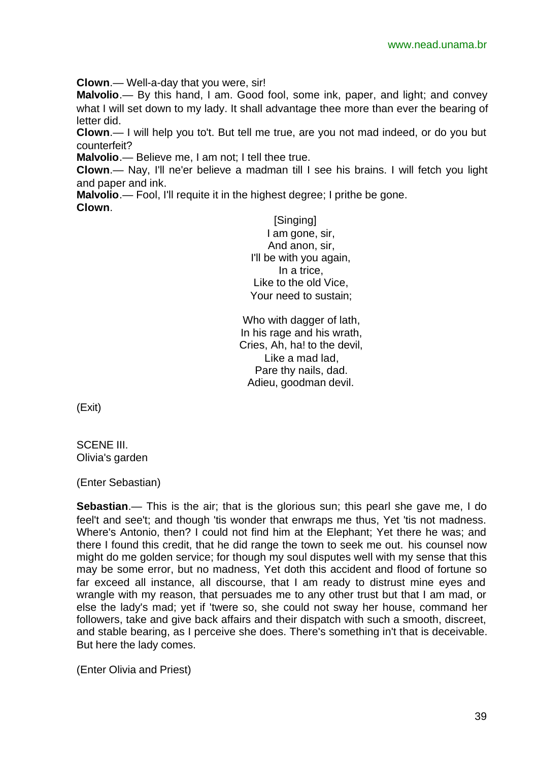**Clown**.— Well-a-day that you were, sir!

**Malvolio**.— By this hand, I am. Good fool, some ink, paper, and light; and convey what I will set down to my lady. It shall advantage thee more than ever the bearing of letter did.

**Clown**.— I will help you to't. But tell me true, are you not mad indeed, or do you but counterfeit?

**Malvolio**.— Believe me, I am not; I tell thee true.

**Clown**.— Nay, I'll ne'er believe a madman till I see his brains. I will fetch you light and paper and ink.

**Malvolio**.— Fool, I'll requite it in the highest degree; I prithe be gone. **Clown**.

> [Singing] I am gone, sir, And anon, sir, I'll be with you again, In a trice, Like to the old Vice, Your need to sustain;

Who with dagger of lath, In his rage and his wrath, Cries, Ah, ha! to the devil, Like a mad lad, Pare thy nails, dad. Adieu, goodman devil.

(Exit)

SCENE III. Olivia's garden

(Enter Sebastian)

**Sebastian**.— This is the air; that is the glorious sun; this pearl she gave me, I do feel't and see't; and though 'tis wonder that enwraps me thus, Yet 'tis not madness. Where's Antonio, then? I could not find him at the Elephant; Yet there he was; and there I found this credit, that he did range the town to seek me out. his counsel now might do me golden service; for though my soul disputes well with my sense that this may be some error, but no madness, Yet doth this accident and flood of fortune so far exceed all instance, all discourse, that I am ready to distrust mine eyes and wrangle with my reason, that persuades me to any other trust but that I am mad, or else the lady's mad; yet if 'twere so, she could not sway her house, command her followers, take and give back affairs and their dispatch with such a smooth, discreet, and stable bearing, as I perceive she does. There's something in't that is deceivable. But here the lady comes.

(Enter Olivia and Priest)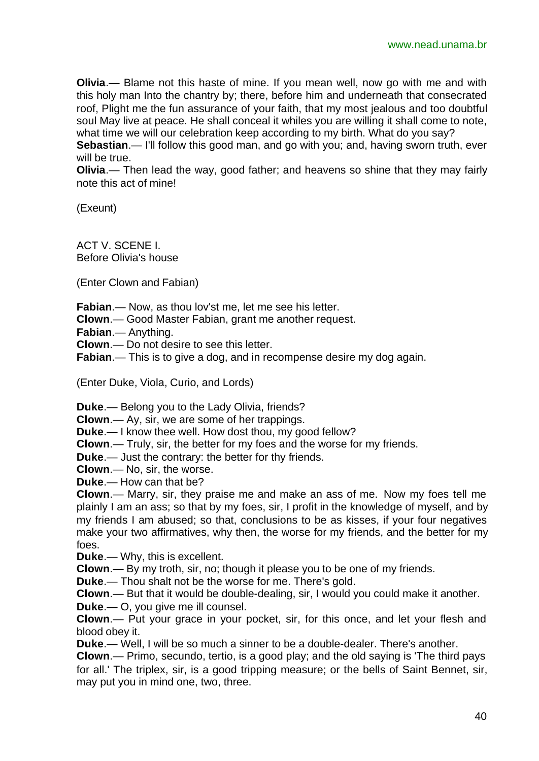**Olivia**.— Blame not this haste of mine. If you mean well, now go with me and with this holy man Into the chantry by; there, before him and underneath that consecrated roof, Plight me the fun assurance of your faith, that my most jealous and too doubtful soul May live at peace. He shall conceal it whiles you are willing it shall come to note, what time we will our celebration keep according to my birth. What do you say?

**Sebastian**.— I'll follow this good man, and go with you; and, having sworn truth, ever will be true.

**Olivia**.— Then lead the way, good father; and heavens so shine that they may fairly note this act of mine!

(Exeunt)

ACT V. SCENE I. Before Olivia's house

(Enter Clown and Fabian)

**Fabian**.— Now, as thou lov'st me, let me see his letter.

**Clown**.— Good Master Fabian, grant me another request.

**Fabian**.— Anything.

**Clown**.— Do not desire to see this letter.

**Fabian**.— This is to give a dog, and in recompense desire my dog again.

(Enter Duke, Viola, Curio, and Lords)

**Duke**.— Belong you to the Lady Olivia, friends?

**Clown**.— Ay, sir, we are some of her trappings.

**Duke**.— I know thee well. How dost thou, my good fellow?

**Clown**.— Truly, sir, the better for my foes and the worse for my friends.

**Duke**.— Just the contrary: the better for thy friends.

**Clown**.— No, sir, the worse.

**Duke**.— How can that be?

**Clown**.— Marry, sir, they praise me and make an ass of me. Now my foes tell me plainly I am an ass; so that by my foes, sir, I profit in the knowledge of myself, and by my friends I am abused; so that, conclusions to be as kisses, if your four negatives make your two affirmatives, why then, the worse for my friends, and the better for my foes.

**Duke**.— Why, this is excellent.

**Clown**.— By my troth, sir, no; though it please you to be one of my friends.

**Duke**.— Thou shalt not be the worse for me. There's gold.

**Clown**.— But that it would be double-dealing, sir, I would you could make it another.

**Duke**.— O, you give me ill counsel.

**Clown**.— Put your grace in your pocket, sir, for this once, and let your flesh and blood obey it.

**Duke**.— Well, I will be so much a sinner to be a double-dealer. There's another.

**Clown**.— Primo, secundo, tertio, is a good play; and the old saying is 'The third pays for all.' The triplex, sir, is a good tripping measure; or the bells of Saint Bennet, sir, may put you in mind one, two, three.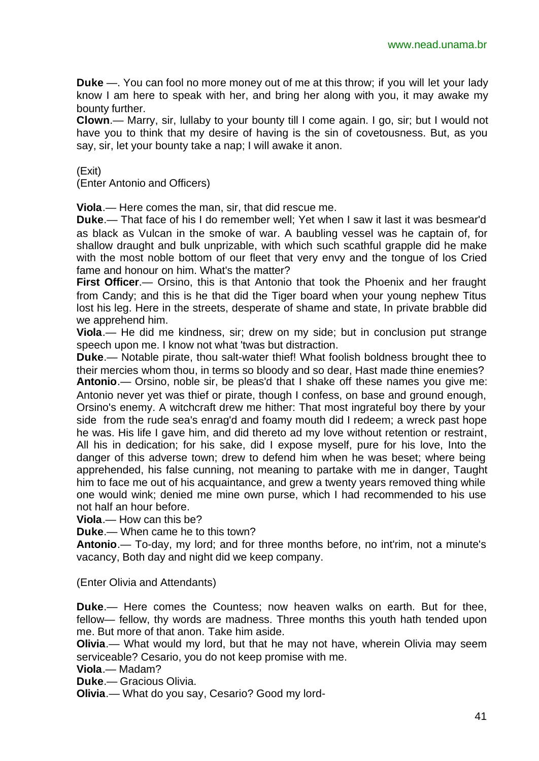**Duke** —. You can fool no more money out of me at this throw; if you will let your lady know I am here to speak with her, and bring her along with you, it may awake my bounty further.

**Clown**.— Marry, sir, lullaby to your bounty till I come again. I go, sir; but I would not have you to think that my desire of having is the sin of covetousness. But, as you say, sir, let your bounty take a nap; I will awake it anon.

(Exit)

(Enter Antonio and Officers)

**Viola**.— Here comes the man, sir, that did rescue me.

**Duke**.— That face of his I do remember well; Yet when I saw it last it was besmear'd as black as Vulcan in the smoke of war. A baubling vessel was he captain of, for shallow draught and bulk unprizable, with which such scathful grapple did he make with the most noble bottom of our fleet that very envy and the tongue of los Cried fame and honour on him. What's the matter?

**First Officer**.— Orsino, this is that Antonio that took the Phoenix and her fraught from Candy; and this is he that did the Tiger board when your young nephew Titus lost his leg. Here in the streets, desperate of shame and state, In private brabble did we apprehend him.

**Viola**.— He did me kindness, sir; drew on my side; but in conclusion put strange speech upon me. I know not what 'twas but distraction.

**Duke**.— Notable pirate, thou salt-water thief! What foolish boldness brought thee to their mercies whom thou, in terms so bloody and so dear, Hast made thine enemies?

**Antonio**.— Orsino, noble sir, be pleas'd that I shake off these names you give me: Antonio never yet was thief or pirate, though I confess, on base and ground enough, Orsino's enemy. A witchcraft drew me hither: That most ingrateful boy there by your side from the rude sea's enrag'd and foamy mouth did I redeem; a wreck past hope he was. His life I gave him, and did thereto ad my love without retention or restraint, All his in dedication; for his sake, did I expose myself, pure for his love, Into the danger of this adverse town; drew to defend him when he was beset; where being apprehended, his false cunning, not meaning to partake with me in danger, Taught him to face me out of his acquaintance, and grew a twenty years removed thing while one would wink; denied me mine own purse, which I had recommended to his use not half an hour before.

**Viola**.— How can this be?

**Duke**.— When came he to this town?

**Antonio**.— To-day, my lord; and for three months before, no int'rim, not a minute's vacancy, Both day and night did we keep company.

(Enter Olivia and Attendants)

**Duke**.— Here comes the Countess; now heaven walks on earth. But for thee, fellow— fellow, thy words are madness. Three months this youth hath tended upon me. But more of that anon. Take him aside.

**Olivia**.— What would my lord, but that he may not have, wherein Olivia may seem serviceable? Cesario, you do not keep promise with me.

**Viola**.— Madam?

**Duke**.— Gracious Olivia.

**Olivia**.— What do you say, Cesario? Good my lord-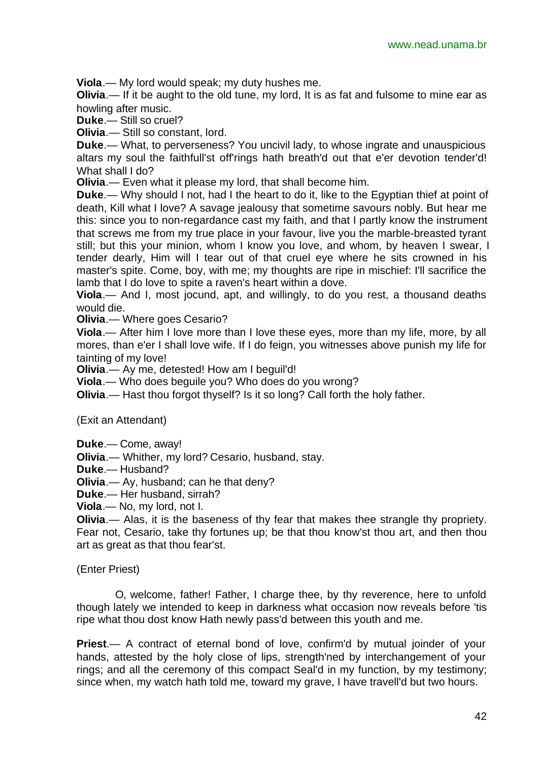**Viola**.— My lord would speak; my duty hushes me.

**Olivia**.— If it be aught to the old tune, my lord, It is as fat and fulsome to mine ear as howling after music.

**Duke**.— Still so cruel?

**Olivia**.— Still so constant, lord.

**Duke**.— What, to perverseness? You uncivil lady, to whose ingrate and unauspicious altars my soul the faithfull'st off'rings hath breath'd out that e'er devotion tender'd! What shall I do?

**Olivia**.— Even what it please my lord, that shall become him.

**Duke**.— Why should I not, had I the heart to do it, like to the Egyptian thief at point of death, Kill what I love? A savage jealousy that sometime savours nobly. But hear me this: since you to non-regardance cast my faith, and that I partly know the instrument that screws me from my true place in your favour, live you the marble-breasted tyrant still; but this your minion, whom I know you love, and whom, by heaven I swear, I tender dearly, Him will I tear out of that cruel eye where he sits crowned in his master's spite. Come, boy, with me; my thoughts are ripe in mischief: I'll sacrifice the lamb that I do love to spite a raven's heart within a dove.

**Viola**.— And I, most jocund, apt, and willingly, to do you rest, a thousand deaths would die.

**Olivia**.— Where goes Cesario?

**Viola**.— After him I love more than I love these eyes, more than my life, more, by all mores, than e'er I shall love wife. If I do feign, you witnesses above punish my life for tainting of my love!

**Olivia**.— Ay me, detested! How am I beguil'd!

**Viola**.— Who does beguile you? Who does do you wrong?

**Olivia**.— Hast thou forgot thyself? Is it so long? Call forth the holy father.

(Exit an Attendant)

- **Duke**.— Come, away!
- **Olivia**.— Whither, my lord? Cesario, husband, stay.

**Duke**.— Husband?

**Olivia**.— Ay, husband; can he that deny?

**Duke**.— Her husband, sirrah?

**Viola**.— No, my lord, not I.

**Olivia**.— Alas, it is the baseness of thy fear that makes thee strangle thy propriety. Fear not, Cesario, take thy fortunes up; be that thou know'st thou art, and then thou art as great as that thou fear'st.

(Enter Priest)

O, welcome, father! Father, I charge thee, by thy reverence, here to unfold though lately we intended to keep in darkness what occasion now reveals before 'tis ripe what thou dost know Hath newly pass'd between this youth and me.

**Priest**.— A contract of eternal bond of love, confirm'd by mutual joinder of your hands, attested by the holy close of lips, strength'ned by interchangement of your rings; and all the ceremony of this compact Seal'd in my function, by my testimony; since when, my watch hath told me, toward my grave, I have travell'd but two hours.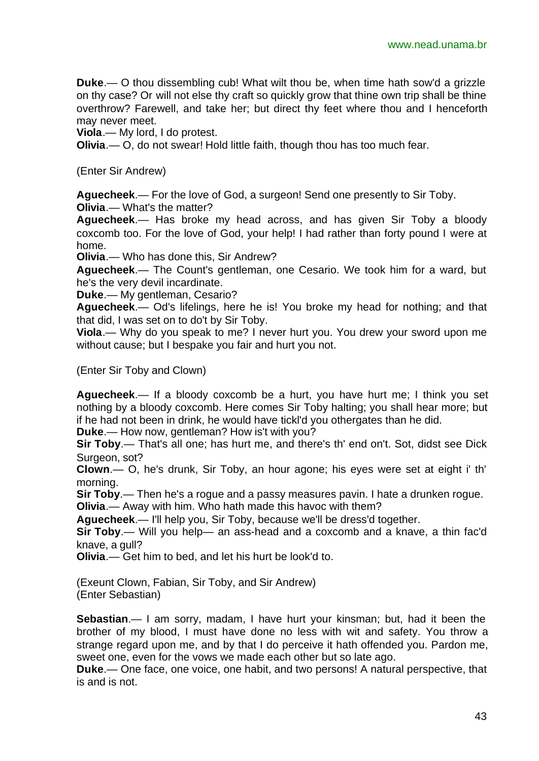**Duke**.— O thou dissembling cub! What wilt thou be, when time hath sow'd a grizzle on thy case? Or will not else thy craft so quickly grow that thine own trip shall be thine overthrow? Farewell, and take her; but direct thy feet where thou and I henceforth may never meet.

**Viola**.— My lord, I do protest.

**Olivia**.— O, do not swear! Hold little faith, though thou has too much fear.

(Enter Sir Andrew)

**Aguecheek**.— For the love of God, a surgeon! Send one presently to Sir Toby. **Olivia**.— What's the matter?

**Aguecheek**.— Has broke my head across, and has given Sir Toby a bloody coxcomb too. For the love of God, your help! I had rather than forty pound I were at home.

**Olivia**.— Who has done this, Sir Andrew?

**Aguecheek**.— The Count's gentleman, one Cesario. We took him for a ward, but he's the very devil incardinate.

**Duke**.— My gentleman, Cesario?

**Aguecheek**.— Od's lifelings, here he is! You broke my head for nothing; and that that did, I was set on to do't by Sir Toby.

**Viola**.— Why do you speak to me? I never hurt you. You drew your sword upon me without cause; but I bespake you fair and hurt you not.

(Enter Sir Toby and Clown)

**Aguecheek**.— If a bloody coxcomb be a hurt, you have hurt me; I think you set nothing by a bloody coxcomb. Here comes Sir Toby halting; you shall hear more; but if he had not been in drink, he would have tickl'd you othergates than he did.

**Duke**.— How now, gentleman? How is't with you?

**Sir Toby**.— That's all one; has hurt me, and there's th' end on't. Sot, didst see Dick Surgeon, sot?

**Clown**.— O, he's drunk, Sir Toby, an hour agone; his eyes were set at eight i' th' morning.

**Sir Toby**.— Then he's a rogue and a passy measures pavin. I hate a drunken rogue. **Olivia**.— Away with him. Who hath made this havoc with them?

**Aguecheek**.— I'll help you, Sir Toby, because we'll be dress'd together.

**Sir Toby**.— Will you help— an ass-head and a coxcomb and a knave, a thin fac'd knave, a gull?

**Olivia**.— Get him to bed, and let his hurt be look'd to.

(Exeunt Clown, Fabian, Sir Toby, and Sir Andrew) (Enter Sebastian)

**Sebastian**.— I am sorry, madam, I have hurt your kinsman; but, had it been the brother of my blood, I must have done no less with wit and safety. You throw a strange regard upon me, and by that I do perceive it hath offended you. Pardon me, sweet one, even for the vows we made each other but so late ago.

**Duke**.— One face, one voice, one habit, and two persons! A natural perspective, that is and is not.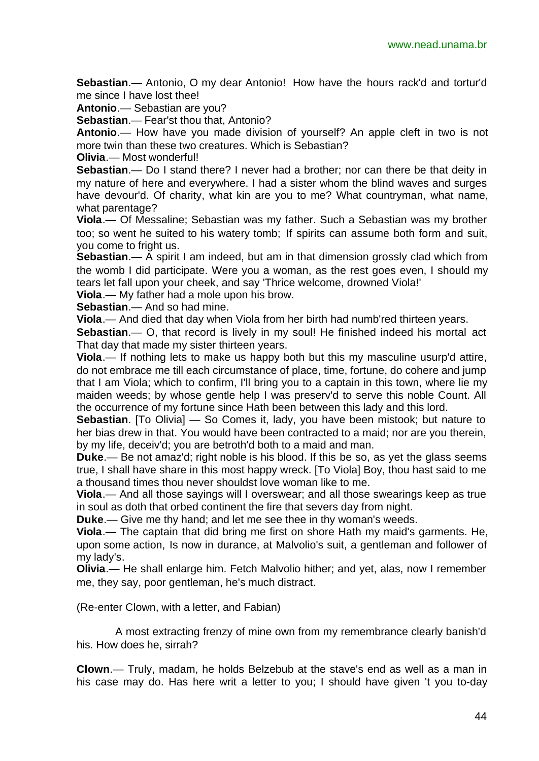**Sebastian**.— Antonio, O my dear Antonio! How have the hours rack'd and tortur'd me since I have lost thee!

**Antonio**.— Sebastian are you?

**Sebastian**.— Fear'st thou that, Antonio?

**Antonio**.— How have you made division of yourself? An apple cleft in two is not more twin than these two creatures. Which is Sebastian?

**Olivia**.— Most wonderful!

**Sebastian**.— Do I stand there? I never had a brother; nor can there be that deity in my nature of here and everywhere. I had a sister whom the blind waves and surges have devour'd. Of charity, what kin are you to me? What countryman, what name, what parentage?

**Viola**.— Of Messaline; Sebastian was my father. Such a Sebastian was my brother too; so went he suited to his watery tomb; If spirits can assume both form and suit, you come to fright us.

**Sebastian.**— A spirit I am indeed, but am in that dimension grossly clad which from the womb I did participate. Were you a woman, as the rest goes even, I should my tears let fall upon your cheek, and say 'Thrice welcome, drowned Viola!'

**Viola**.— My father had a mole upon his brow.

**Sebastian**.— And so had mine.

**Viola**.— And died that day when Viola from her birth had numb'red thirteen years.

**Sebastian**.— O, that record is lively in my soul! He finished indeed his mortal act That day that made my sister thirteen years.

**Viola**.— If nothing lets to make us happy both but this my masculine usurp'd attire, do not embrace me till each circumstance of place, time, fortune, do cohere and jump that I am Viola; which to confirm, I'll bring you to a captain in this town, where lie my maiden weeds; by whose gentle help I was preserv'd to serve this noble Count. All the occurrence of my fortune since Hath been between this lady and this lord.

**Sebastian**. [To Olivia] — So Comes it, lady, you have been mistook; but nature to her bias drew in that. You would have been contracted to a maid; nor are you therein, by my life, deceiv'd; you are betroth'd both to a maid and man.

**Duke**.— Be not amaz'd; right noble is his blood. If this be so, as yet the glass seems true, I shall have share in this most happy wreck. [To Viola] Boy, thou hast said to me a thousand times thou never shouldst love woman like to me.

**Viola**.— And all those sayings will I overswear; and all those swearings keep as true in soul as doth that orbed continent the fire that severs day from night.

**Duke**.— Give me thy hand; and let me see thee in thy woman's weeds.

**Viola**.— The captain that did bring me first on shore Hath my maid's garments. He, upon some action, Is now in durance, at Malvolio's suit, a gentleman and follower of my lady's.

**Olivia**.— He shall enlarge him. Fetch Malvolio hither; and yet, alas, now I remember me, they say, poor gentleman, he's much distract.

(Re-enter Clown, with a letter, and Fabian)

A most extracting frenzy of mine own from my remembrance clearly banish'd his. How does he, sirrah?

**Clown**.— Truly, madam, he holds Belzebub at the stave's end as well as a man in his case may do. Has here writ a letter to you; I should have given 't you to-day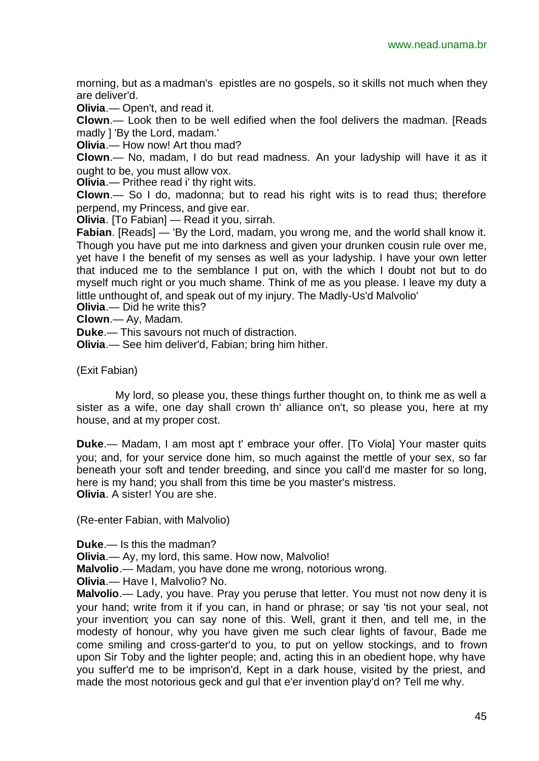morning, but as a madman's epistles are no gospels, so it skills not much when they are deliver'd.

**Olivia**.— Open't, and read it.

**Clown**.— Look then to be well edified when the fool delivers the madman. [Reads madly ] 'By the Lord, madam.'

**Olivia**.— How now! Art thou mad?

**Clown**.— No, madam, I do but read madness. An your ladyship will have it as it ought to be, you must allow vox.

**Olivia**.— Prithee read i' thy right wits.

**Clown**.— So I do, madonna; but to read his right wits is to read thus; therefore perpend, my Princess, and give ear.

**Olivia**. [To Fabian] — Read it you, sirrah.

**Fabian**. [Reads] — 'By the Lord, madam, you wrong me, and the world shall know it. Though you have put me into darkness and given your drunken cousin rule over me, yet have I the benefit of my senses as well as your ladyship. I have your own letter that induced me to the semblance I put on, with the which I doubt not but to do myself much right or you much shame. Think of me as you please. I leave my duty a little unthought of, and speak out of my injury. The Madly-Us'd Malvolio'

**Olivia**.— Did he write this?

**Clown**.— Ay, Madam.

**Duke**.— This savours not much of distraction.

**Olivia**.— See him deliver'd, Fabian; bring him hither.

(Exit Fabian)

My lord, so please you, these things further thought on, to think me as well a sister as a wife, one day shall crown th' alliance on't, so please you, here at my house, and at my proper cost.

**Duke**.— Madam, I am most apt t' embrace your offer. [To Viola] Your master quits you; and, for your service done him, so much against the mettle of your sex, so far beneath your soft and tender breeding, and since you call'd me master for so long, here is my hand; you shall from this time be you master's mistress. **Olivia**. A sister! You are she.

(Re-enter Fabian, with Malvolio)

**Duke**.— Is this the madman?

**Olivia**.— Ay, my lord, this same. How now, Malvolio!

**Malvolio**.— Madam, you have done me wrong, notorious wrong.

**Olivia**.— Have I, Malvolio? No.

**Malvolio**.— Lady, you have. Pray you peruse that letter. You must not now deny it is your hand; write from it if you can, in hand or phrase; or say 'tis not your seal, not your invention; you can say none of this. Well, grant it then, and tell me, in the modesty of honour, why you have given me such clear lights of favour, Bade me come smiling and cross-garter'd to you, to put on yellow stockings, and to frown upon Sir Toby and the lighter people; and, acting this in an obedient hope, why have you suffer'd me to be imprison'd, Kept in a dark house, visited by the priest, and made the most notorious geck and gul that e'er invention play'd on? Tell me why.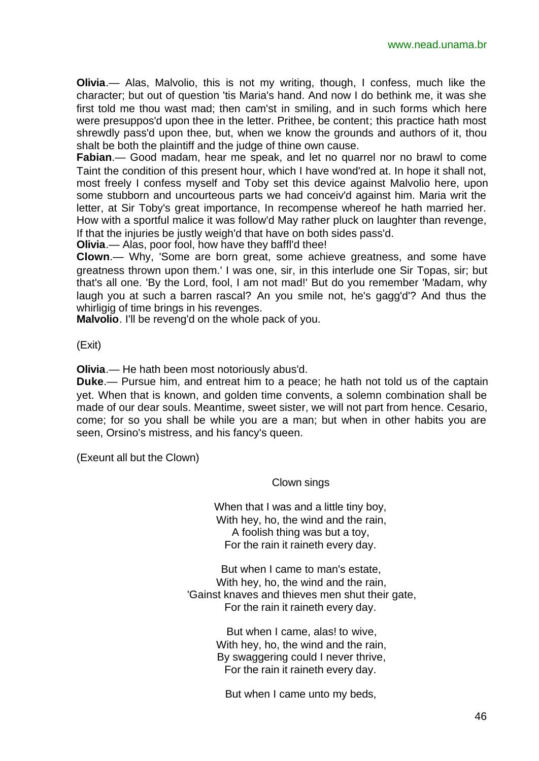**Olivia**.— Alas, Malvolio, this is not my writing, though, I confess, much like the character; but out of question 'tis Maria's hand. And now I do bethink me, it was she first told me thou wast mad; then cam'st in smiling, and in such forms which here were presuppos'd upon thee in the letter. Prithee, be content; this practice hath most shrewdly pass'd upon thee, but, when we know the grounds and authors of it, thou shalt be both the plaintiff and the judge of thine own cause.

**Fabian**.— Good madam, hear me speak, and let no quarrel nor no brawl to come Taint the condition of this present hour, which I have wond'red at. In hope it shall not, most freely I confess myself and Toby set this device against Malvolio here, upon some stubborn and uncourteous parts we had conceiv'd against him. Maria writ the letter, at Sir Toby's great importance, In recompense whereof he hath married her. How with a sportful malice it was follow'd May rather pluck on laughter than revenge, If that the injuries be justly weigh'd that have on both sides pass'd.

**Olivia**.— Alas, poor fool, how have they baffl'd thee!

**Clown**.— Why, 'Some are born great, some achieve greatness, and some have greatness thrown upon them.' I was one, sir, in this interlude one Sir Topas, sir; but that's all one. 'By the Lord, fool, I am not mad!' But do you remember 'Madam, why laugh you at such a barren rascal? An you smile not, he's gagg'd'? And thus the whirligig of time brings in his revenges.

**Malvolio**. I'll be reveng'd on the whole pack of you.

(Exit)

**Olivia**.— He hath been most notoriously abus'd.

**Duke**.— Pursue him, and entreat him to a peace; he hath not told us of the captain yet. When that is known, and golden time convents, a solemn combination shall be made of our dear souls. Meantime, sweet sister, we will not part from hence. Cesario, come; for so you shall be while you are a man; but when in other habits you are seen, Orsino's mistress, and his fancy's queen.

(Exeunt all but the Clown)

Clown sings

When that I was and a little tiny boy, With hey, ho, the wind and the rain. A foolish thing was but a toy, For the rain it raineth every day.

But when I came to man's estate, With hey, ho, the wind and the rain, 'Gainst knaves and thieves men shut their gate, For the rain it raineth every day.

> But when I came, alas! to wive, With hey, ho, the wind and the rain, By swaggering could I never thrive, For the rain it raineth every day.

But when I came unto my beds,